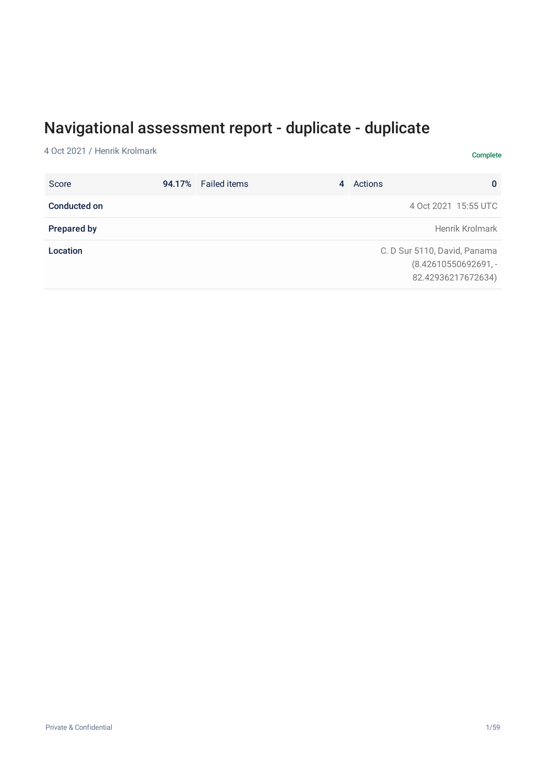# Navigational assessment report - duplicate - duplicate

4 Oct 2021 / Henrik Krolmark Complete

| Score              | 94.17% Failed items | 4 | Actions<br>$\bf{0}$                                                         |
|--------------------|---------------------|---|-----------------------------------------------------------------------------|
| Conducted on       |                     |   | 4 Oct 2021 15:55 UTC                                                        |
| <b>Prepared by</b> |                     |   | Henrik Krolmark                                                             |
| Location           |                     |   | C. D Sur 5110, David, Panama<br>$(8.42610550692691,-$<br>82.42936217672634) |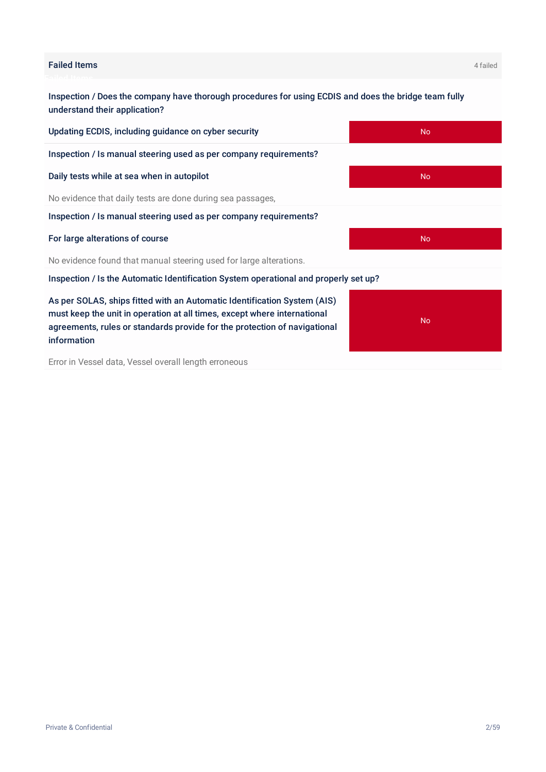#### Failed Items 4 failed

information

Inspection / Does the company have thorough procedures for using ECDIS and does the bridge team fully understand their application?

Updating ECDIS, including guidance on cyber security No Inspection / Is manual steering used as per company requirements? Daily tests while at sea when in autopilot No and No and No and No Annual Communication No Annual Communication No evidence that daily tests are done during sea passages, Inspection / Is manual steering used as per company requirements? For large alterations of course No. 2008 and 2008 and 2008 and 2008 and 2008 and 2008 and 2008 and 2008 and 200 No evidence found that manual steering used for large alterations. Inspection / Is the Automatic Identification System operational and properly set up? As per SOLAS, ships fitted with an Automatic Identification System (AIS) must keep the unit in operation at all times, except where international

Error in Vessel data, Vessel overall length erroneous

agreements, rules or standards provide for the protection of navigational

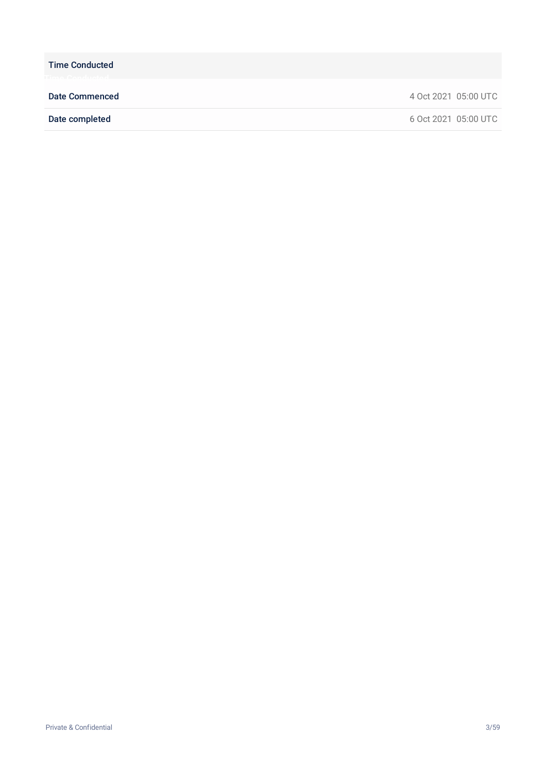Time Conducted

Date Commenced 4 Oct 2021 05:00 UTC

Date completed 6 Oct 2021 05:00 UTC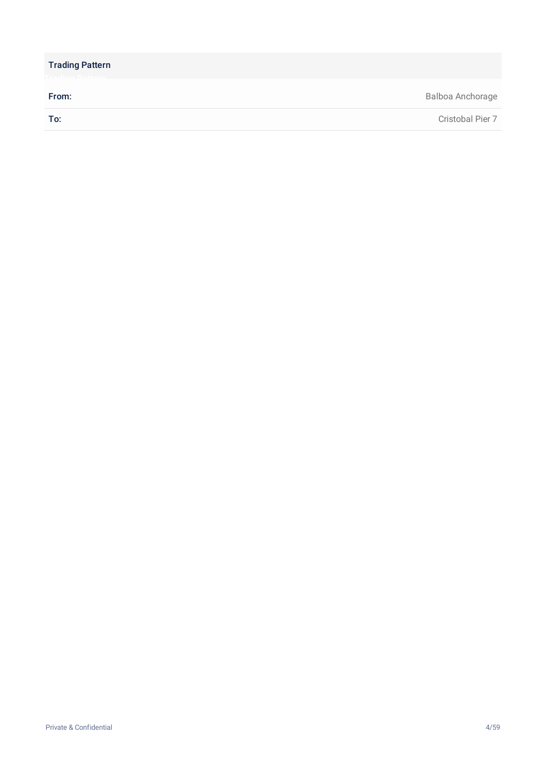| <b>Trading Pattern</b> |                  |
|------------------------|------------------|
| From:                  | Balboa Anchorage |
| To:                    | Cristobal Pier 7 |
|                        |                  |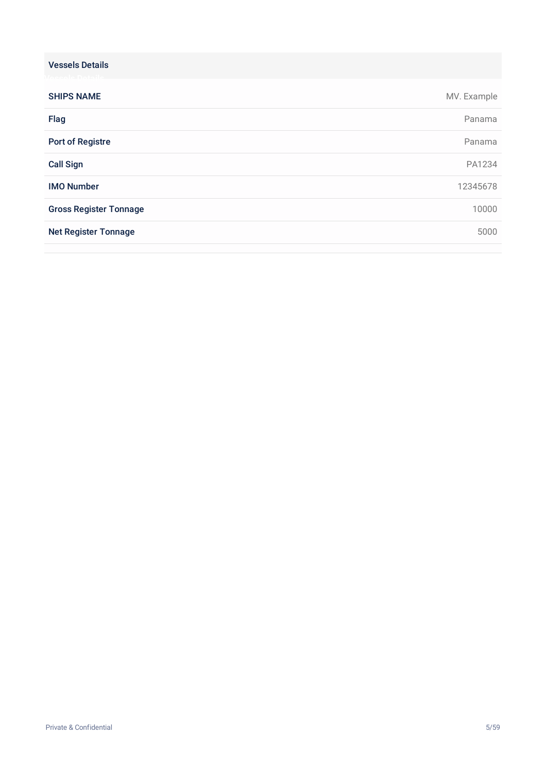| <b>Vessels Details</b>        |             |
|-------------------------------|-------------|
| <b>SHIPS NAME</b>             | MV. Example |
| Flag                          | Panama      |
| <b>Port of Registre</b>       | Panama      |
| <b>Call Sign</b>              | PA1234      |
| <b>IMO Number</b>             | 12345678    |
| <b>Gross Register Tonnage</b> | 10000       |
| <b>Net Register Tonnage</b>   | 5000        |
|                               |             |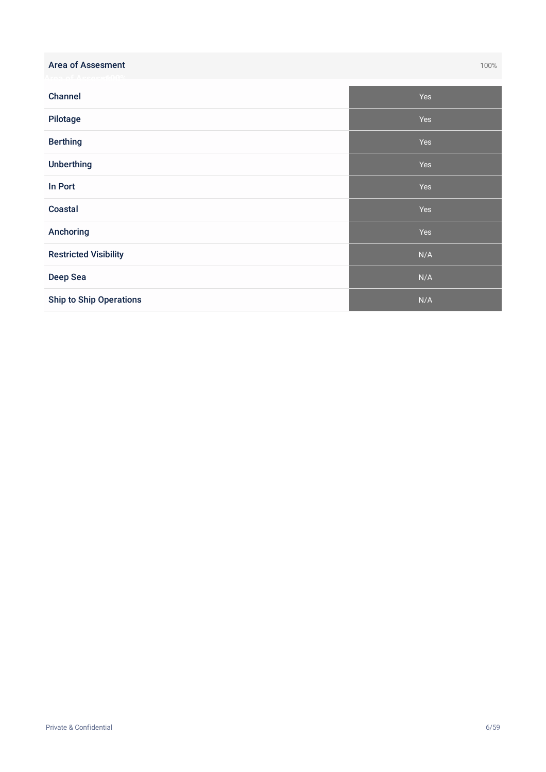| <b>Area of Assesment</b>       | 100% |
|--------------------------------|------|
| Channel                        | Yes  |
| Pilotage                       | Yes  |
| <b>Berthing</b>                | Yes  |
| <b>Unberthing</b>              | Yes  |
| In Port                        | Yes  |
| <b>Coastal</b>                 | Yes  |
| Anchoring                      | Yes  |
| <b>Restricted Visibility</b>   | N/A  |
| <b>Deep Sea</b>                | N/A  |
| <b>Ship to Ship Operations</b> | N/A  |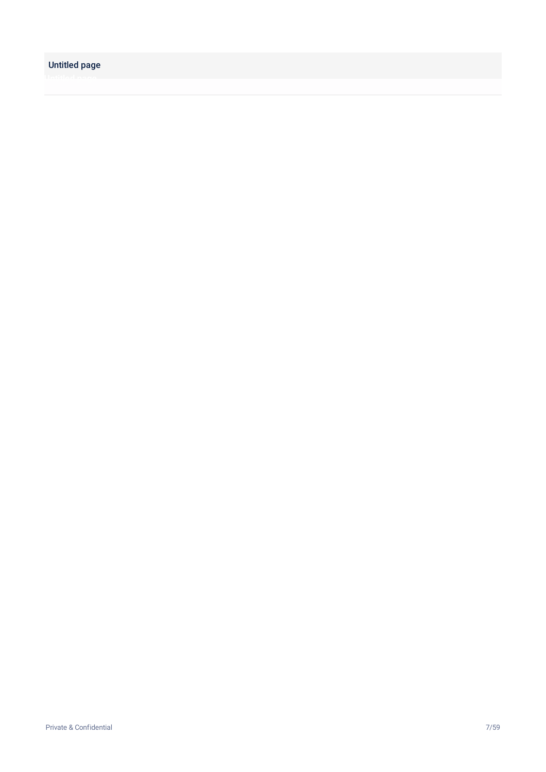#### Untitled page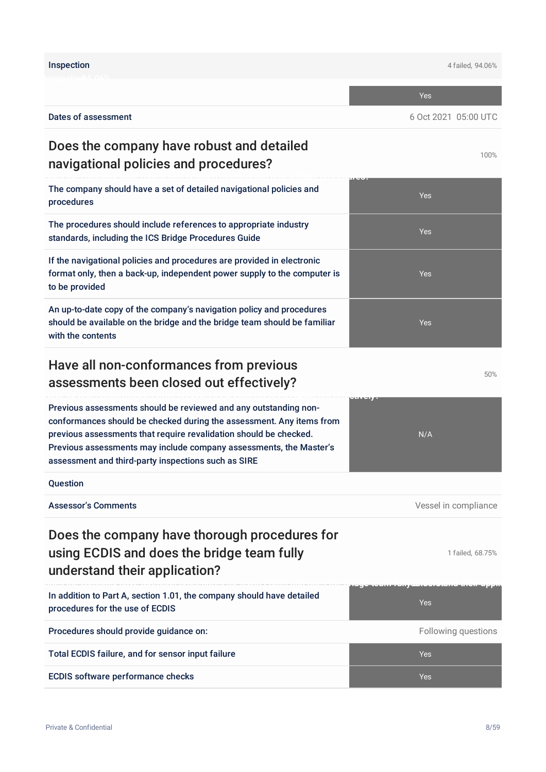|                                                                                                                                                                                                                                                                                                                                            | <b>Yes</b>                      |
|--------------------------------------------------------------------------------------------------------------------------------------------------------------------------------------------------------------------------------------------------------------------------------------------------------------------------------------------|---------------------------------|
| <b>Dates of assessment</b>                                                                                                                                                                                                                                                                                                                 | 6 Oct 2021 05:00 UTC            |
| Does the company have robust and detailed<br>navigational policies and procedures?                                                                                                                                                                                                                                                         | 100%                            |
| The company should have a set of detailed navigational policies and<br>procedures                                                                                                                                                                                                                                                          | Yes                             |
| The procedures should include references to appropriate industry<br>standards, including the ICS Bridge Procedures Guide                                                                                                                                                                                                                   | <b>Yes</b>                      |
| If the navigational policies and procedures are provided in electronic<br>format only, then a back-up, independent power supply to the computer is<br>to be provided                                                                                                                                                                       | Yes                             |
| An up-to-date copy of the company's navigation policy and procedures<br>should be available on the bridge and the bridge team should be familiar<br>with the contents                                                                                                                                                                      | Yes                             |
| Have all non-conformances from previous<br>assessments been closed out effectively?                                                                                                                                                                                                                                                        | 50%                             |
| Previous assessments should be reviewed and any outstanding non-<br>conformances should be checked during the assessment. Any items from<br>previous assessments that require revalidation should be checked.<br>Previous assessments may include company assessments, the Master's<br>assessment and third-party inspections such as SIRE | N/A                             |
| Question                                                                                                                                                                                                                                                                                                                                   |                                 |
| <b>Assessor's Comments</b>                                                                                                                                                                                                                                                                                                                 | Vessel in compliance            |
| Does the company have thorough procedures for<br>using ECDIS and does the bridge team fully<br>understand their application?                                                                                                                                                                                                               | 1 failed, 68.75%                |
| In addition to Part A, section 1.01, the company should have detailed<br>procedures for the use of ECDIS                                                                                                                                                                                                                                   | (1971年) 法法院法院 医马德里氏试验检尿病<br>Yes |
| Procedures should provide guidance on:                                                                                                                                                                                                                                                                                                     | Following questions             |
| Total ECDIS failure, and for sensor input failure                                                                                                                                                                                                                                                                                          | <b>Yes</b>                      |
| <b>ECDIS software performance checks</b>                                                                                                                                                                                                                                                                                                   | Yes                             |

Inspection 4 failed, 94.06%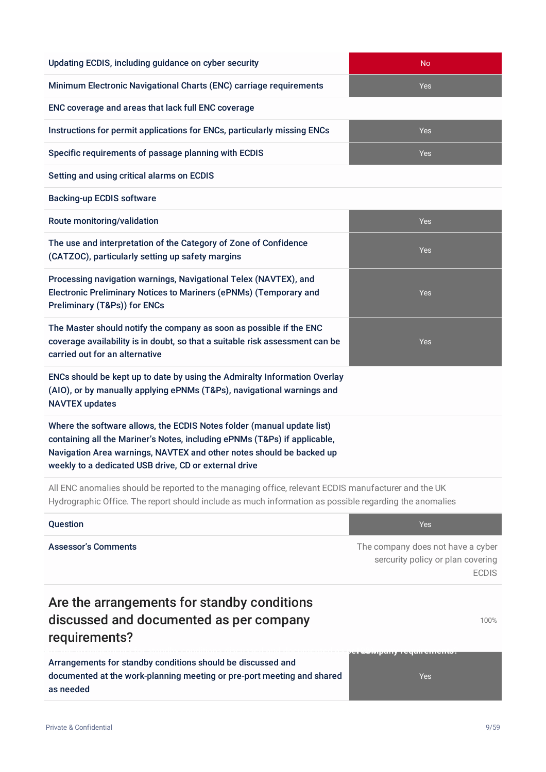| Updating ECDIS, including guidance on cyber security                                                                                                                                                                                                                                 | <b>No</b>                                                                              |
|--------------------------------------------------------------------------------------------------------------------------------------------------------------------------------------------------------------------------------------------------------------------------------------|----------------------------------------------------------------------------------------|
| Minimum Electronic Navigational Charts (ENC) carriage requirements                                                                                                                                                                                                                   | Yes                                                                                    |
| ENC coverage and areas that lack full ENC coverage                                                                                                                                                                                                                                   |                                                                                        |
| Instructions for permit applications for ENCs, particularly missing ENCs                                                                                                                                                                                                             | Yes                                                                                    |
| Specific requirements of passage planning with ECDIS                                                                                                                                                                                                                                 | Yes                                                                                    |
| Setting and using critical alarms on ECDIS                                                                                                                                                                                                                                           |                                                                                        |
| <b>Backing-up ECDIS software</b>                                                                                                                                                                                                                                                     |                                                                                        |
| Route monitoring/validation                                                                                                                                                                                                                                                          | Yes                                                                                    |
| The use and interpretation of the Category of Zone of Confidence<br>(CATZOC), particularly setting up safety margins                                                                                                                                                                 | Yes                                                                                    |
| Processing navigation warnings, Navigational Telex (NAVTEX), and<br>Electronic Preliminary Notices to Mariners (ePNMs) (Temporary and<br>Preliminary (T&Ps)) for ENCs                                                                                                                | Yes                                                                                    |
| The Master should notify the company as soon as possible if the ENC<br>coverage availability is in doubt, so that a suitable risk assessment can be<br>carried out for an alternative                                                                                                | Yes                                                                                    |
| ENCs should be kept up to date by using the Admiralty Information Overlay<br>(AIO), or by manually applying ePNMs (T&Ps), navigational warnings and<br><b>NAVTEX updates</b>                                                                                                         |                                                                                        |
| Where the software allows, the ECDIS Notes folder (manual update list)<br>containing all the Mariner's Notes, including ePNMs (T&Ps) if applicable,<br>Navigation Area warnings, NAVTEX and other notes should be backed up<br>weekly to a dedicated USB drive, CD or external drive |                                                                                        |
| All ENC anomalies should be reported to the managing office, relevant ECDIS manufacturer and the UK<br>Hydrographic Office. The report should include as much information as possible regarding the anomalies                                                                        |                                                                                        |
| Question                                                                                                                                                                                                                                                                             | <b>Yes</b>                                                                             |
| <b>Assessor's Comments</b>                                                                                                                                                                                                                                                           | The company does not have a cyber<br>sercurity policy or plan covering<br><b>ECDIS</b> |
| Are the arrangements for standby conditions                                                                                                                                                                                                                                          |                                                                                        |

# discussed and documented as per company requirements?

Arrangements for standby conditions should be discussed and documented at the work-planning meeting or pre-port meeting and shared as needed

**Are the arrangements for standby conditions discussed and documented as pe-1r0c0o%mpany requirements?**

100%

Yes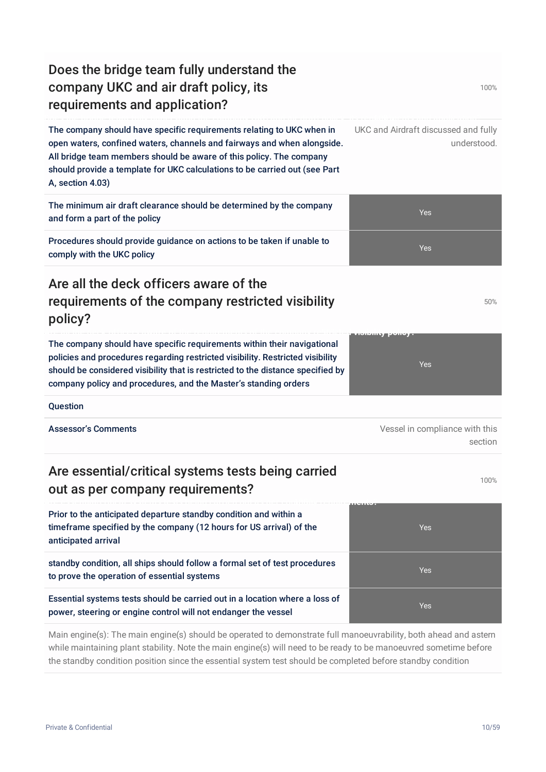| Does the bridge team fully understand the<br>company UKC and air draft policy, its<br>requirements and application?                                                                                                                                                                                                       | 100%                                                |
|---------------------------------------------------------------------------------------------------------------------------------------------------------------------------------------------------------------------------------------------------------------------------------------------------------------------------|-----------------------------------------------------|
| The company should have specific requirements relating to UKC when in<br>open waters, confined waters, channels and fairways and when alongside.<br>All bridge team members should be aware of this policy. The company<br>should provide a template for UKC calculations to be carried out (see Part<br>A, section 4.03) | UKC and Airdraft discussed and fully<br>understood. |
| The minimum air draft clearance should be determined by the company<br>and form a part of the policy                                                                                                                                                                                                                      | <b>Yes</b>                                          |
| Procedures should provide guidance on actions to be taken if unable to<br>comply with the UKC policy                                                                                                                                                                                                                      | Yes                                                 |
| Are all the deck officers aware of the<br>requirements of the company restricted visibility<br>policy?                                                                                                                                                                                                                    | 50%                                                 |
| The company should have specific requirements within their navigational<br>policies and procedures regarding restricted visibility. Restricted visibility<br>should be considered visibility that is restricted to the distance specified by<br>company policy and procedures, and the Master's standing orders           | <b>TOTISTING EXPIRE</b><br><b>Yes</b>               |
| Question                                                                                                                                                                                                                                                                                                                  |                                                     |
| <b>Assessor's Comments</b>                                                                                                                                                                                                                                                                                                | Vessel in compliance with this<br>section           |
| Are essential/critical systems tests being carried<br>out as per company requirements?                                                                                                                                                                                                                                    | 100%                                                |
| Prior to the anticipated departure standby condition and within a<br>timeframe specified by the company (12 hours for US arrival) of the<br>anticipated arrival                                                                                                                                                           | 2011/07/2<br>Yes                                    |
| standby condition, all ships should follow a formal set of test procedures<br>to prove the operation of essential systems                                                                                                                                                                                                 | Yes                                                 |
| Essential systems tests should be carried out in a location where a loss of<br>power, steering or engine control will not endanger the vessel                                                                                                                                                                             | Yes                                                 |
| Main engine(s): The main engine(s) should be operated to demonstrate full manoeuvrability, both ahead and astern                                                                                                                                                                                                          |                                                     |

while maintaining plant stability. Note the main engine(s) will need to be ready to be manoeuvred sometime before the standby condition position since the essential system test should be completed before standby condition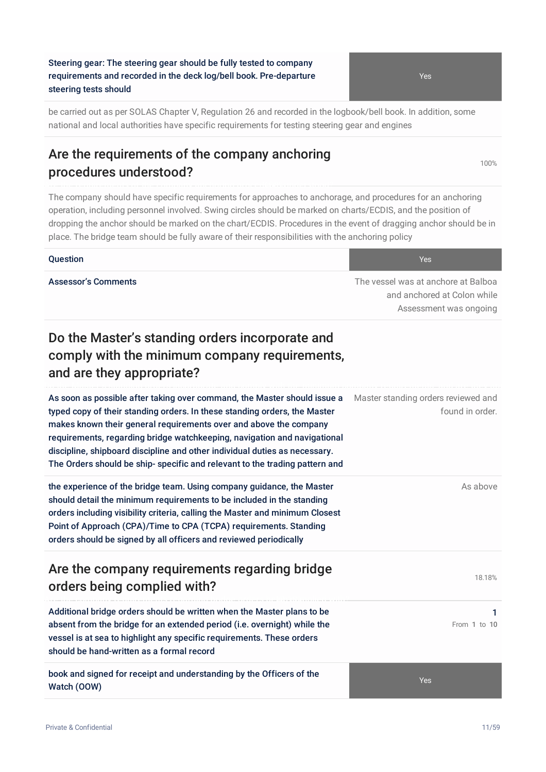#### Steering gear: The steering gear should be fully tested to company requirements and recorded in the deck log/bell book. Pre-departure steering tests should

be carried out as per SOLAS Chapter V, Regulation 26 and recorded in the logbook/bell book. In addition, some national and local authorities have specific requirements for testing steering gear and engines

## Are the requirements of the company anchoring procedures understood?

The company should have specific requirements for approaches to anchorage, and procedures for an anchoring operation, including personnel involved. Swing circles should be marked on charts/ECDIS, and the position of dropping the anchor should be marked on the chart/ECDIS. Procedures in the event of dragging anchor should be in place. The bridge team should be fully aware of their responsibilities with the anchoring policy

#### **Question According to the Contract of Contract Contract of Contract Contract Contract Oriental According to the Ves**

Assessor's Comments **The vessel was at anchore at Balboa** The vessel was at anchore at Balboa and anchored at Colon while Assessment was ongoing

## Do the Master's standing orders incorporate and comply with the minimum company requirements, and are they appropriate?

As soon as possible after taking over command, the Master should issue a typed copy of their standing orders. In these standing orders, the Master makes known their general requirements over and above the company requirements, regarding bridge watchkeeping, navigation and navigational discipline, shipboard discipline and other individual duties as necessary. The Orders should be ship- specific and relevant to the trading pattern and Master standing orders reviewed and found in order. the experience of the bridge team. Using company guidance, the Master

should detail the minimum requirements to be included in the standing orders including visibility criteria, calling the Master and minimum Closest Point of Approach (CPA)/Time to CPA (TCPA) requirements. Standing orders should be signed by all officers and reviewed periodically

## Are the company requirements regarding bridge orders being complied with?

Additional bridge orders should be written when the Master plans to be absent from the bridge for an extended period (i.e. overnight) while the vessel is at sea to highlight any specific requirements. These orders should be hand-written as a formal record

book and signed for receipt and understanding by the Officers of the Watch (OOW)

Yes

As above

100%

18.18%

1 From 1 to 10

Yes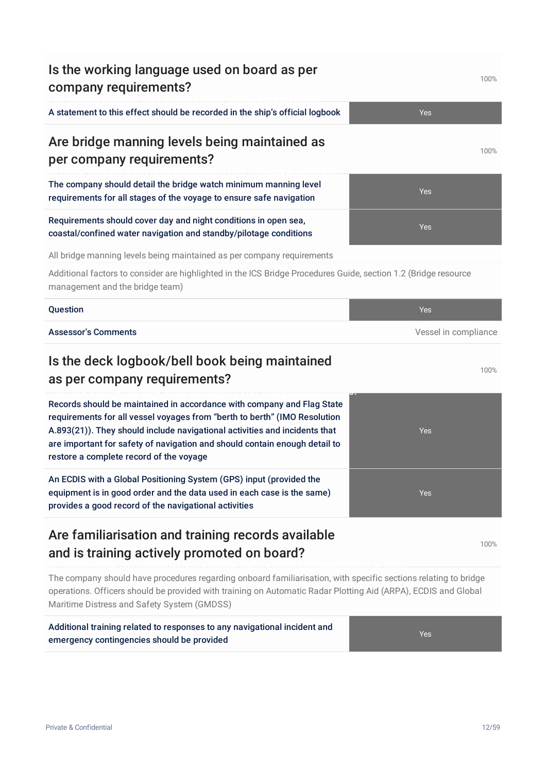| company requirements?                                                                                                                                                                                                                                                                                                                                      | 1 UU 70              |
|------------------------------------------------------------------------------------------------------------------------------------------------------------------------------------------------------------------------------------------------------------------------------------------------------------------------------------------------------------|----------------------|
| A statement to this effect should be recorded in the ship's official logbook                                                                                                                                                                                                                                                                               | Yes                  |
| Are bridge manning levels being maintained as<br>per company requirements?                                                                                                                                                                                                                                                                                 | 100%                 |
| The company should detail the bridge watch minimum manning level<br>requirements for all stages of the voyage to ensure safe navigation                                                                                                                                                                                                                    | Yes                  |
| Requirements should cover day and night conditions in open sea,<br>coastal/confined water navigation and standby/pilotage conditions                                                                                                                                                                                                                       | Yes                  |
| All bridge manning levels being maintained as per company requirements                                                                                                                                                                                                                                                                                     |                      |
| Additional factors to consider are highlighted in the ICS Bridge Procedures Guide, section 1.2 (Bridge resource<br>management and the bridge team)                                                                                                                                                                                                         |                      |
| Question                                                                                                                                                                                                                                                                                                                                                   | Yes                  |
| <b>Assessor's Comments</b>                                                                                                                                                                                                                                                                                                                                 | Vessel in compliance |
| Is the deck logbook/bell book being maintained<br>as per company requirements?                                                                                                                                                                                                                                                                             | 100%                 |
| Records should be maintained in accordance with company and Flag State<br>requirements for all vessel voyages from "berth to berth" (IMO Resolution<br>A.893(21)). They should include navigational activities and incidents that<br>are important for safety of navigation and should contain enough detail to<br>restore a complete record of the voyage | Yes                  |
| An ECDIS with a Global Positioning System (GPS) input (provided the<br>equipment is in good order and the data used in each case is the same)<br>provides a good record of the navigational activities                                                                                                                                                     | Yes                  |
| Are familiarisation and training records available<br>and is training actively promoted on board?                                                                                                                                                                                                                                                          | 100%                 |
| The company should have procedures regarding onboard familiarisation, with specific sections relating to bridge<br>operations. Officers should be provided with training on Automatic Radar Plotting Aid (ARPA), ECDIS and Global<br>Maritime Distress and Safety System (GMDSS)                                                                           |                      |

Is the working language used on board as per

Additional training related to responses to any navigational incident and

emergency contingencies should be provided

Yes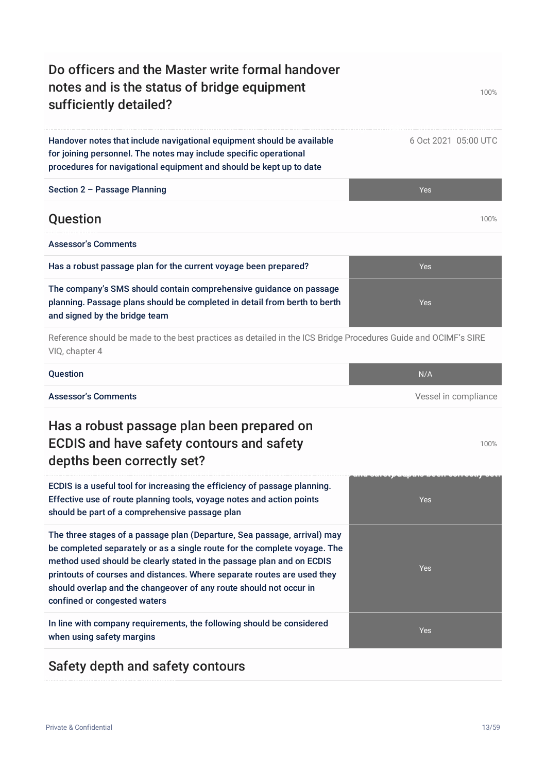## Do officers and the Master write formal handover notes and is the status of bridge equipment sufficiently detailed?

#### Handover notes that include navigational equipment should be available for joining personnel. The notes may include specific operational procedures for navigational equipment and should be kept up to date

| Section 2 - Passage Planning | Yes  |
|------------------------------|------|
| Question                     | 100% |

Has a robust passage plan for the current voyage been prepared? The Context of the Yes

| <b>Assessor's Comments</b> |  |
|----------------------------|--|
|                            |  |

| The company's SMS should contain comprehensive guidance on passage        |  |
|---------------------------------------------------------------------------|--|
| planning. Passage plans should be completed in detail from berth to berth |  |
| and signed by the bridge team                                             |  |

Reference should be made to the best practices as detailed in the ICS Bridge Procedures Guide and OCIMF's SIRE VIQ, chapter 4

| Question | N/A |
|----------|-----|
|          |     |

Assessor's Comments **Assessor's Comments Assessor's Comments Vessel in compliance** 

## Has a robust passage plan been prepared on ECDIS and have safety contours and safety depths been correctly set?

ECDIS is a useful tool for increasing the efficiency of passage planning. Effective use of route planning tools, voyage notes and action points should be part of a comprehensive passage plan

The three stages of a passage plan (Departure, Sea passage, arrival) may be completed separately or as a single route for the complete voyage. The method used should be clearly stated in the passage plan and on ECDIS printouts of courses and distances. Where separate routes are used they should overlap and the changeover of any route should not occur in confined or congested waters

In line with company requirements, the following should be considered when using safety margins

## Safety depth and safety contours

100%



Yes

100%

6 Oct 2021 05:00 UTC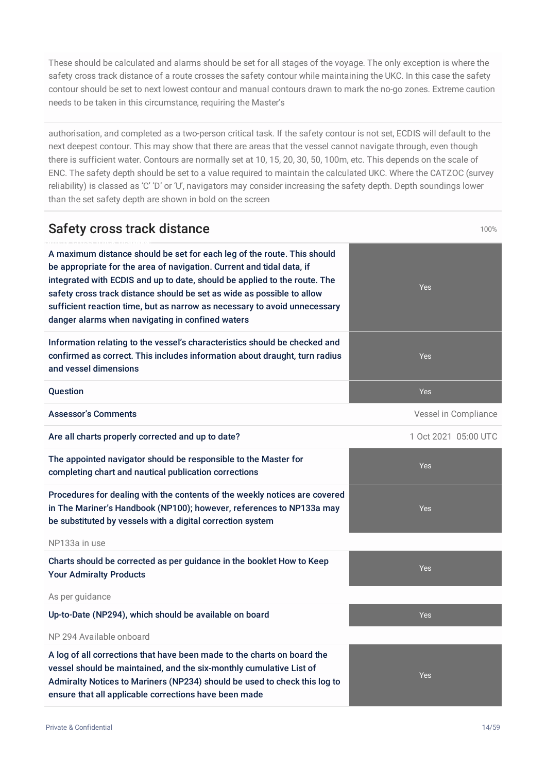These should be calculated and alarms should be set for all stages of the voyage. The only exception is where the safety cross track distance of a route crosses the safety contour while maintaining the UKC. In this case the safety contour should be set to next lowest contour and manual contours drawn to mark the no-go zones. Extreme caution needs to be taken in this circumstance, requiring the Master's

authorisation, and completed as a two-person critical task. If the safety contour is not set, ECDIS will default to the next deepest contour. This may show that there are areas that the vessel cannot navigate through, even though there is sufficient water. Contours are normally set at 10, 15, 20, 30, 50, 100m, etc. This depends on the scale of ENC. The safety depth should be set to a value required to maintain the calculated UKC. Where the CATZOC (survey reliability) is classed as 'C' 'D' or 'U', navigators may consider increasing the safety depth. Depth soundings lower than the set safety depth are shown in bold on the screen

#### Safety cross track distance 100% and the state 100% of the 100% of the 100% of the 100% of the 100% of the 100%

A maximum distance should be set for each leg of the route. This should be appropriate for the area of navigation. Current and tidal data, if integrated with ECDIS and up to date, should be applied to the route. The safety cross track distance should be set as wide as possible to allow sufficient reaction time, but as narrow as necessary to avoid unnecessary danger alarms when navigating in confined waters

Information relating to the vessel's characteristics should be checked and confirmed as correct. This includes information about draught, turn radius and vessel dimensions

Assessor's Comments **Assessor's Comments Assessor's Comments Vessel in Compliance** 

Are all charts properly corrected and up to date? 1 Oct 2021 05:00 UTC

The appointed navigator should be responsible to the Master for completing chart and nautical publication corrections

Procedures for dealing with the contents of the weekly notices are covered in The Mariner's Handbook (NP100); however, references to NP133a may be substituted by vessels with a digital correction system

NP133a in use

Charts should be corrected as per guidance in the booklet How to Keep Your Admiralty Products

As per guidance

Up-to-Date (NP294), which should be available on board Vest Allen Mathematics of the Yes

#### NP 294 Available onboard

A log of all corrections that have been made to the charts on board the vessel should be maintained, and the six-monthly cumulative List of Admiralty Notices to Mariners (NP234) should be used to check this log to ensure that all applicable corrections have been made





Yes

Yes

Yes

Yes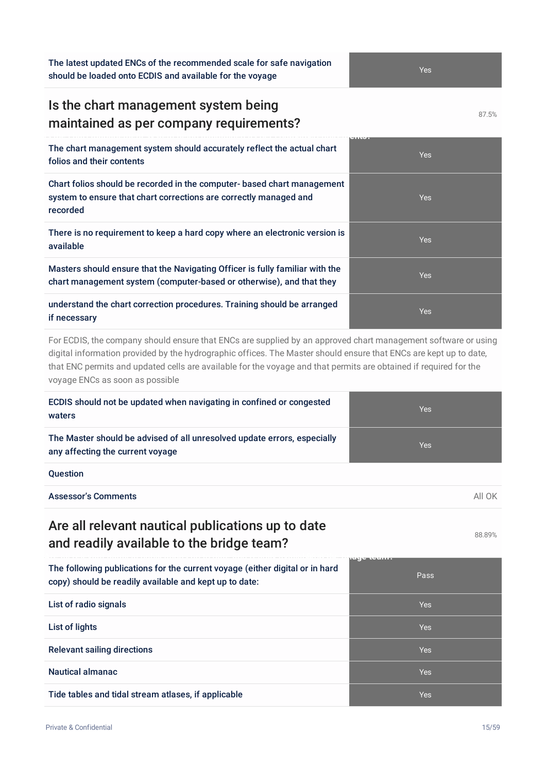The latest updated ENCs of the recommended scale for safe navigation should be loaded onto ECDIS and available for the voyage

#### Is the chart management system being maintained as per company requirements?

**Is the chart management system being maintained as per com-8p7a.n5y%requirements?** The chart management system should accurately reflect the actual chart folios and their contents

Chart folios should be recorded in the computer- based chart manageme system to ensure that chart corrections are correctly managed and recorded

There is no requirement to keep a hard copy where an electronic version available

Masters should ensure that the Navigating Officer is fully familiar with the chart management system (computer-based or otherwise), and that they

#### understand the chart correction procedures. Training should be arranged if necessary

For ECDIS, the company should ensure that ENCs are supplied by an approved chart management software or using digital information provided by the hydrographic offices. The Master should ensure that ENCs are kept up to date, that ENC permits and updated cells are available for the voyage and that permits are obtained if required for the voyage ENCs as soon as possible

| ECDIS should not be updated when navigating in confined or congested<br>waters                                                         | <b>Yes</b> |
|----------------------------------------------------------------------------------------------------------------------------------------|------------|
| The Master should be advised of all unresolved update errors, especially<br>any affecting the current voyage                           | <b>Yes</b> |
| <b>Question</b>                                                                                                                        |            |
| <b>Assessor's Comments</b>                                                                                                             | All OK     |
| Are all relevant nautical publications up to date<br>and readily available to the bridge team?                                         | 88.89%     |
| The following publications for the current voyage (either digital or in hard<br>copy) should be readily available and kept up to date: | Pass       |
| List of radio signals                                                                                                                  | <b>Yes</b> |
| List of lights                                                                                                                         | Yes        |

Relevant sailing directions Yes

Nautical almanac Yes

Tide tables and tidal stream atlases, if applicable Yes

|         | Yes |
|---------|-----|
| nt      | Yes |
| is      | Yes |
| e<br>i, | Yes |
|         | Yes |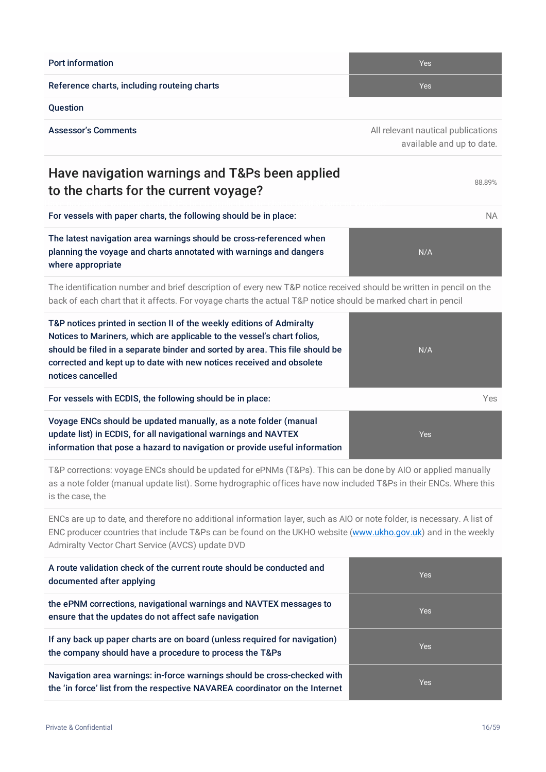Reference charts, including routeing charts **Yes** Network Yes **Question** Assessor's Comments **Assessor's Comments** All relevant nautical publications **All relevant nautical publications** available and up to date. Have navigation warnings and T&Ps been applied to the charts for the current voyage? For vessels with paper charts, the following should be in place: NA

The latest navigation area warnings should be cross-referenced when planning the voyage and charts annotated with warnings and dangers where appropriate

The identification number and brief description of every new T&P notice received should be written in pencil on the back of each chart that it affects. For voyage charts the actual T&P notice should be marked chart in pencil

| T&P notices printed in section II of the weekly editions of Admiralty<br>Notices to Mariners, which are applicable to the vessel's chart folios,<br>should be filed in a separate binder and sorted by area. This file should be<br>corrected and kept up to date with new notices received and obsolete<br>notices cancelled | N/A  |
|-------------------------------------------------------------------------------------------------------------------------------------------------------------------------------------------------------------------------------------------------------------------------------------------------------------------------------|------|
| For vessels with ECDIS, the following should be in place:                                                                                                                                                                                                                                                                     | Yes. |
| Voyage ENCs should be updated manually, as a note folder (manual<br>update list) in ECDIS, for all navigational warnings and NAVTEX<br>information that pose a hazard to navigation or provide useful information                                                                                                             | Yes  |

T&P corrections: voyage ENCs should be updated for ePNMs (T&Ps). This can be done by AIO or applied manually as a note folder (manual update list). Some hydrographic offices have now included T&Ps in their ENCs. Where this is the case, the

ENCs are up to date, and therefore no additional information layer, such as AIO or note folder, is necessary. A list of ENC producer countries that include T&Ps can be found on the UKHO website [\(www.ukho.gov.uk](http://www.ukho.gov.uk)) and in the weekly Admiralty Vector Chart Service (AVCS) update DVD

| A route validation check of the current route should be conducted and<br>documented after applying                                                      | <b>Yes</b> |
|---------------------------------------------------------------------------------------------------------------------------------------------------------|------------|
| the ePNM corrections, navigational warnings and NAVTEX messages to<br>ensure that the updates do not affect safe navigation                             | <b>Yes</b> |
| If any back up paper charts are on board (unless required for navigation)<br>the company should have a procedure to process the T&Ps                    | <b>Yes</b> |
| Navigation area warnings: in-force warnings should be cross-checked with<br>the 'in force' list from the respective NAVAREA coordinator on the Internet | <b>Yes</b> |

**Port information** Yes

N/A

88.89%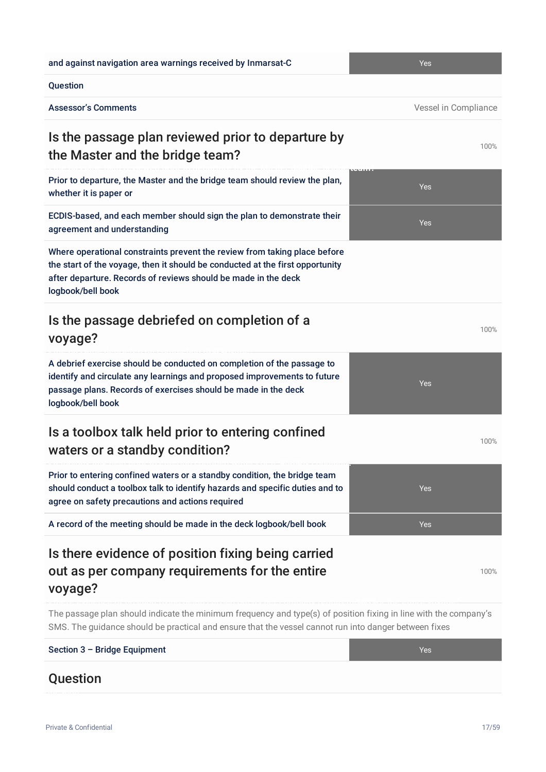and against navigation area warnings received by Inmarsat-C Yes

#### Question

Assessor's Comments **Assessor's Comments Assessor's Comments Vessel in Compliance** 

## Is the passage plan reviewed prior to departure by the Master and the bridge team?

Prior to departure, the Master and the bridge team should review the plan, whether it is paper or

ECDIS-based, and each member should sign the plan to demonstrate their agreement and understanding

Where operational constraints prevent the review from taking place before the start of the voyage, then it should be conducted at the first opportunity after departure. Records of reviews should be made in the deck logbook/bell book

#### Is the passage debriefed on completion of a voyage?

A debrief exercise should be conducted on completion of the passage to identify and circulate any learnings and proposed improvements to future passage plans. Records of exercises should be made in the deck logbook/bell book

#### Is a toolbox talk held prior to entering confined waters or a standby condition?

Prior to entering confined waters or a standby condition, the bridge team should conduct a toolbox talk to identify hazards and specific duties and to agree on safety precautions and actions required

**Is a toolbox talk held prior to entering confined waters or a-s1t0a0n%dby condition?**

A record of the meeting should be made in the deck logbook/bell book Yes

## Is there evidence of position fixing being carried out as per company requirements for the entire voyage?

The passage plan should indicate the minimum frequency and type(s) of position fixing in line with the company's SMS. The guidance should be practical and ensure that the vessel cannot run into danger between fixes

# Section 3 – Bridge Equipment Yes **Ouestion**

Private & Confidential 17/59

# 100%



Yes

100%

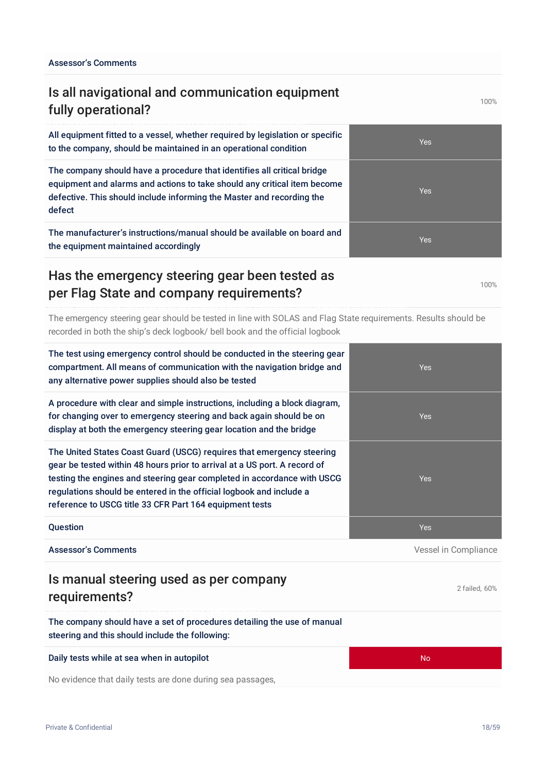## Is all navigational and communication equipment fully operational?

All equipment fitted to a vessel, whether required by legislation or specific to the company, should be maintained in an operational condition

The company should have a procedure that identifies all critical bridge equipment and alarms and actions to take should any critical item become defective. This should include informing the Master and recording the defect

The manufacturer's instructions/manual should be available on board and the equipment maintained accordingly

#### Has the emergency steering gear been tested as per Flag State and company requirements?

The emergency steering gear should be tested in line with SOLAS and Flag State requirements. Results should be recorded in both the ship's deck logbook/ bell book and the official logbook

| The test using emergency control should be conducted in the steering gear<br>compartment. All means of communication with the navigation bridge and<br>any alternative power supplies should also be tested                                                                                                                                                     | <b>Yes</b>           |
|-----------------------------------------------------------------------------------------------------------------------------------------------------------------------------------------------------------------------------------------------------------------------------------------------------------------------------------------------------------------|----------------------|
| A procedure with clear and simple instructions, including a block diagram,<br>for changing over to emergency steering and back again should be on<br>display at both the emergency steering gear location and the bridge                                                                                                                                        | <b>Yes</b>           |
| The United States Coast Guard (USCG) requires that emergency steering<br>gear be tested within 48 hours prior to arrival at a US port. A record of<br>testing the engines and steering gear completed in accordance with USCG<br>regulations should be entered in the official logbook and include a<br>reference to USCG title 33 CFR Part 164 equipment tests | <b>Yes</b>           |
| Question                                                                                                                                                                                                                                                                                                                                                        | <b>Yes</b>           |
| <b>Assessor's Comments</b>                                                                                                                                                                                                                                                                                                                                      | Vessel in Compliance |
| Is manual steering used as per company<br>requirements?                                                                                                                                                                                                                                                                                                         | 2 failed, 60%        |

The company should have a set of procedures detailing the use of manual steering and this should include the following:

Daily tests while at sea when in autopilot No was also as a sea when in autopilot

No evidence that daily tests are done during sea passages,





100%

100%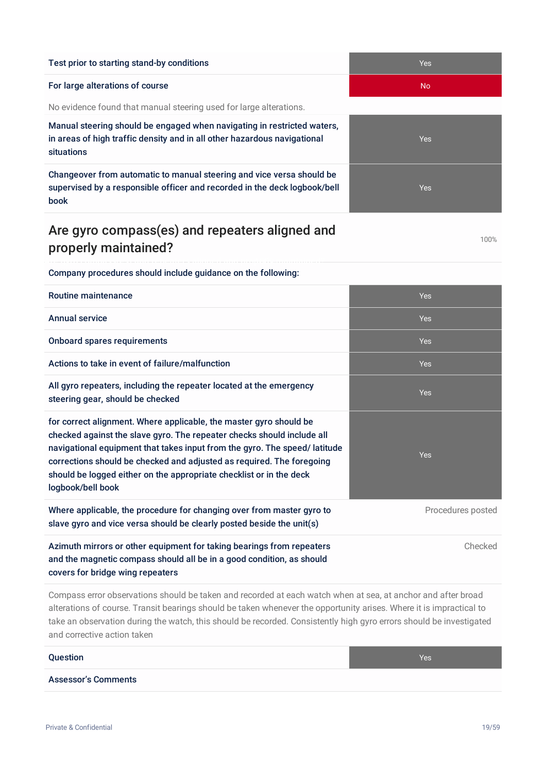#### Test prior to starting stand-by conditions Test prior to starting stand-by conditions Test According to the Ves

#### For large alterations of course No. 2008 and 2008 and 2008 and 2008 and 2008 and 2008 and 2008 and 2008 and 200

No evidence found that manual steering used for large alterations.

Manual steering should be engaged when navigating in restricted waters, in areas of high traffic density and in all other hazardous navigational situations

Changeover from automatic to manual steering and vice versa should be supervised by a responsible officer and recorded in the deck logbook/bell book

#### Are gyro compass(es) and repeaters aligned and properly maintained?

Company procedures should include guidance on the following:

| <b>Routine maintenance</b>                                                                                                                                                                                                                                                                                                                                                                     | <b>Yes</b>        |
|------------------------------------------------------------------------------------------------------------------------------------------------------------------------------------------------------------------------------------------------------------------------------------------------------------------------------------------------------------------------------------------------|-------------------|
| <b>Annual service</b>                                                                                                                                                                                                                                                                                                                                                                          | <b>Yes</b>        |
| <b>Onboard spares requirements</b>                                                                                                                                                                                                                                                                                                                                                             | <b>Yes</b>        |
| Actions to take in event of failure/malfunction                                                                                                                                                                                                                                                                                                                                                | <b>Yes</b>        |
| All gyro repeaters, including the repeater located at the emergency<br>steering gear, should be checked                                                                                                                                                                                                                                                                                        | <b>Yes</b>        |
| for correct alignment. Where applicable, the master gyro should be<br>checked against the slave gyro. The repeater checks should include all<br>navigational equipment that takes input from the gyro. The speed/latitude<br>corrections should be checked and adjusted as required. The foregoing<br>should be logged either on the appropriate checklist or in the deck<br>logbook/bell book | <b>Yes</b>        |
| Where applicable, the procedure for changing over from master gyro to<br>slave gyro and vice versa should be clearly posted beside the unit(s)                                                                                                                                                                                                                                                 | Procedures posted |
| Azimuth mirrors or other equipment for taking bearings from repeaters<br>and the magnetic compass should all be in a good condition, as should<br>covers for bridge wing repeaters                                                                                                                                                                                                             | Checked           |

Compass error observations should be taken and recorded at each watch when at sea, at anchor and after broad alterations of course. Transit bearings should be taken whenever the opportunity arises. Where it is impractical to take an observation during the watch, this should be recorded. Consistently high gyro errors should be investigated and corrective action taken

#### **Question According to the Contract of Contract Contract of Contract Contract Contract Oriental According to the Ves**

Assessor's Comments



Yes Yes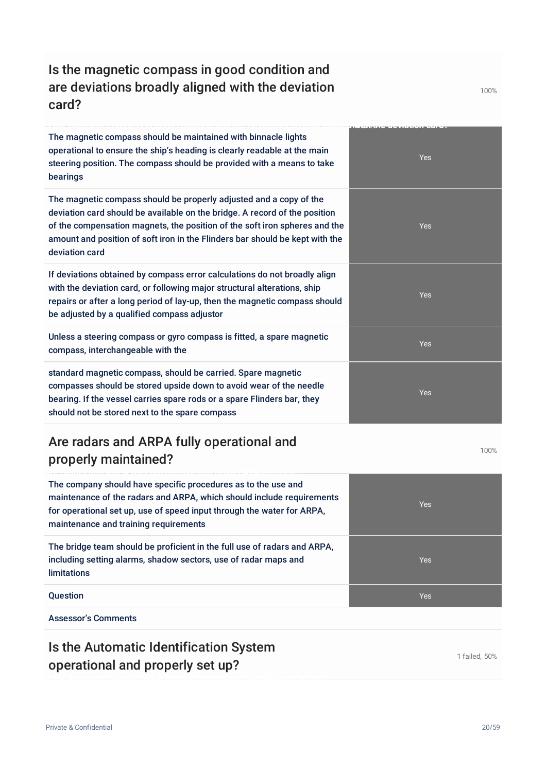## Is the magnetic compass in good condition and are deviations broadly aligned with the deviation card?

The magnetic compass should be maintained with binnacle lights operational to ensure the ship's heading is clearly readable at the main steering position. The compass should be provided with a means to take bearings

**Is the magnetic compass in good condition and are deviations broadly aligned-1w0i0th%the deviation card?**

The magnetic compass should be properly adjusted and a copy of the deviation card should be available on the bridge. A record of the po of the compensation magnets, the position of the soft iron spheres amount and position of soft iron in the Flinders bar should be kept  $\psi$ deviation card

If deviations obtained by compass error calculations do not broadly with the deviation card, or following major structural alterations, shipped repairs or after a long period of lay-up, then the magnetic compass be adjusted by a qualified compass adjustor

Unless a steering compass or gyro compass is fitted, a spare magn compass, interchangeable with the

standard magnetic compass, should be carried. Spare magnetic compasses should be stored upside down to avoid wear of the need bearing. If the vessel carries spare rods or a spare Flinders bar, the should not be stored next to the spare compass

## Are radars and ARPA fully operational and properly maintained?

The company should have specific procedures as to the use and maintenance of the radars and ARPA, which should include requirements for operational set up, use of speed input through the water for ARPA, maintenance and training requirements

The bridge team should be proficient in the full use of radars and ARPA, including setting alarms, shadow sectors, use of radar maps and limitations

**Question According to the Contract of Contract Contract of Contract Contract Contract Oriental According to the Ves** 

Assessor's Comments

#### Is the Automatic Identification System operational and properly set up?

1 failed, 50%



| $\sim$                               |     |
|--------------------------------------|-----|
| the<br>sition<br>and the<br>with the | Yes |
| align<br>ip<br>should                | Yes |
| etic                                 | Yes |
| dle<br>эy                            | Yes |

Yes

100%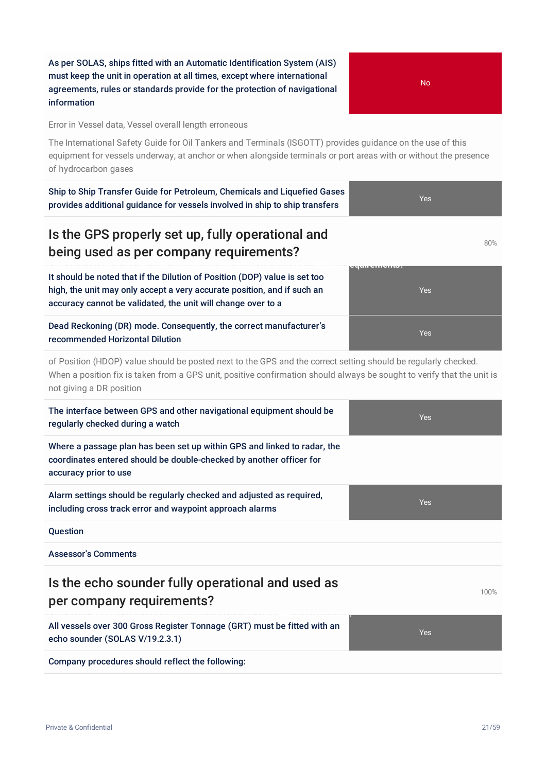As per SOLAS, ships fitted with an Automatic Identification System (AIS) must keep the unit in operation at all times, except where international agreements, rules or standards provide for the protection of navigational information

Error in Vessel data, Vessel overall length erroneous

The International Safety Guide for Oil Tankers and Terminals (ISGOTT) provides guidance on the use of this equipment for vessels underway, at anchor or when alongside terminals or port areas with or without the presence of hydrocarbon gases

Ship to Ship Transfer Guide for Petroleum, Chemicals and Liquefied Gases provides additional guidance for vessels involved in ship to ship transfers

#### Is the GPS properly set up, fully operational and being used as per company requirements?

It should be noted that if the Dilution of Position (DOP) value is set too high, the unit may only accept a very accurate position, and if such an accuracy cannot be validated, the unit will change over to a

#### Dead Reckoning (DR) mode. Consequently, the correct manufacturer's recommended Horizontal Dilution

of Position (HDOP) value should be posted next to the GPS and the correct setting should be regularly checked. When a position fix is taken from a GPS unit, positive confirmation should always be sought to verify that the unit is not giving a DR position

| The interface between GPS and other navigational equipment should be<br>regularly checked during a watch                                                                 | <b>Yes</b> |
|--------------------------------------------------------------------------------------------------------------------------------------------------------------------------|------------|
| Where a passage plan has been set up within GPS and linked to radar, the<br>coordinates entered should be double-checked by another officer for<br>accuracy prior to use |            |
| Alarm settings should be regularly checked and adjusted as required,<br>including cross track error and waypoint approach alarms                                         | <b>Yes</b> |
| Question                                                                                                                                                                 |            |
| <b>Assessor's Comments</b>                                                                                                                                               |            |
| Is the echo sounder fully operational and used as<br>per company requirements?                                                                                           | 100%       |
| All vessels over 300 Gross Register Tonnage (GRT) must be fitted with an<br>echo sounder (SOLAS V/19.2.3.1)                                                              | <b>Yes</b> |
| Company procedures should reflect the following:                                                                                                                         |            |





Yes

Yes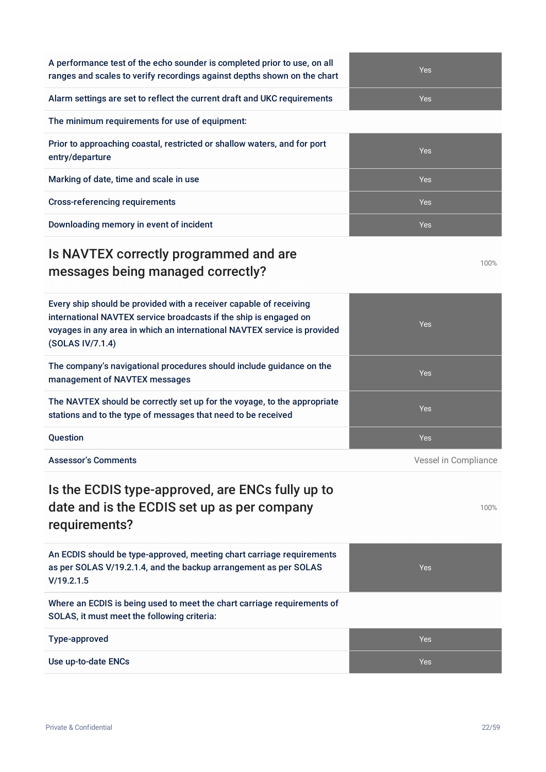| A performance test of the echo sounder is completed prior to use, on all |
|--------------------------------------------------------------------------|
| ranges and scales to verify recordings against depths shown on the chart |

Alarm settings are set to reflect the current draft and UKC requirements Yes

The minimum requirements for use of equipment:

Prior to approaching coastal, restricted or shallow waters, and for port entry/departure

Marking of date, time and scale in use Yes

Cross-referencing requirements Yes

Downloading memory in event of incident Theorem Theorem Theorem Theorem Theorem Theorem Theorem Theorem Theorem Theorem Theorem Theorem Theorem Theorem Theorem Theorem Theorem Theorem Theorem Theorem Theorem Theorem Theore

## Is NAVTEX correctly programmed and are messages being managed correctly?

Every ship should be provided with a receiver capable of receiving international NAVTEX service broadcasts if the ship is engaged on voyages in any area in which an international NAVTEX service is provided (SOLAS IV/7.1.4) The company's navigational procedures should include guidance on the management of NAVTEX messages The NAVTEX should be correctly set up for the voyage, to the appropriate stations and to the type of messages that need to be received **Question According to the Contract of Contract Contract of Contract Contract Contract Oriental Contract Orient** Assessor's Comments **Assessor's Comments Assessor's Comments Vessel in Compliance** Is the ECDIS type-approved, are ENCs fully up to date and is the ECDIS set up as per company requirements? An ECDIS should be type-approved, meeting chart carriage requirements as per SOLAS V/19.2.1.4, and the backup arrangement as per SOLAS V/19.2.1.5

Where an ECDIS is being used to meet the chart carriage requirements of SOLAS, it must meet the following criteria:

| <b>Type-approved</b> | Yes |
|----------------------|-----|
| Use up-to-date ENCs  | Yes |

100%

100%



Yes



Yes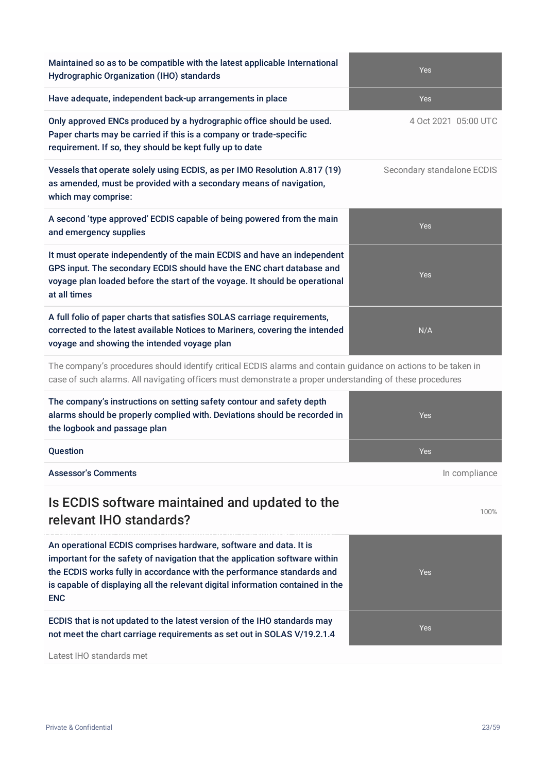| Maintained so as to be compatible with the latest applicable International<br>Hydrographic Organization (IHO) standards                                                                                                                                                                                                    | Yes                        |
|----------------------------------------------------------------------------------------------------------------------------------------------------------------------------------------------------------------------------------------------------------------------------------------------------------------------------|----------------------------|
| Have adequate, independent back-up arrangements in place                                                                                                                                                                                                                                                                   | Yes                        |
| Only approved ENCs produced by a hydrographic office should be used.<br>Paper charts may be carried if this is a company or trade-specific<br>requirement. If so, they should be kept fully up to date                                                                                                                     | 4 Oct 2021 05:00 UTC       |
| Vessels that operate solely using ECDIS, as per IMO Resolution A.817 (19)<br>as amended, must be provided with a secondary means of navigation,<br>which may comprise:                                                                                                                                                     | Secondary standalone ECDIS |
| A second 'type approved' ECDIS capable of being powered from the main<br>and emergency supplies                                                                                                                                                                                                                            | Yes                        |
| It must operate independently of the main ECDIS and have an independent<br>GPS input. The secondary ECDIS should have the ENC chart database and<br>voyage plan loaded before the start of the voyage. It should be operational<br>at all times                                                                            | Yes                        |
| A full folio of paper charts that satisfies SOLAS carriage requirements,<br>corrected to the latest available Notices to Mariners, covering the intended<br>voyage and showing the intended voyage plan                                                                                                                    | N/A                        |
| The company's procedures should identify critical ECDIS alarms and contain guidance on actions to be taken in<br>case of such alarms. All navigating officers must demonstrate a proper understanding of these procedures                                                                                                  |                            |
| The company's instructions on setting safety contour and safety depth<br>alarms should be properly complied with. Deviations should be recorded in<br>the logbook and passage plan                                                                                                                                         | Yes                        |
| Question                                                                                                                                                                                                                                                                                                                   | Yes                        |
| <b>Assessor's Comments</b>                                                                                                                                                                                                                                                                                                 | In compliance              |
| Is ECDIS software maintained and updated to the<br>relevant IHO standards?                                                                                                                                                                                                                                                 | 100%                       |
| An operational ECDIS comprises hardware, software and data. It is<br>important for the safety of navigation that the application software within<br>the ECDIS works fully in accordance with the performance standards and<br>is capable of displaying all the relevant digital information contained in the<br><b>ENC</b> | <b>Yes</b>                 |
| ECDIS that is not updated to the latest version of the IHO standards may<br>not meet the chart carriage requirements as set out in SOLAS V/19.2.1.4                                                                                                                                                                        | Yes                        |

Latest IHO standards met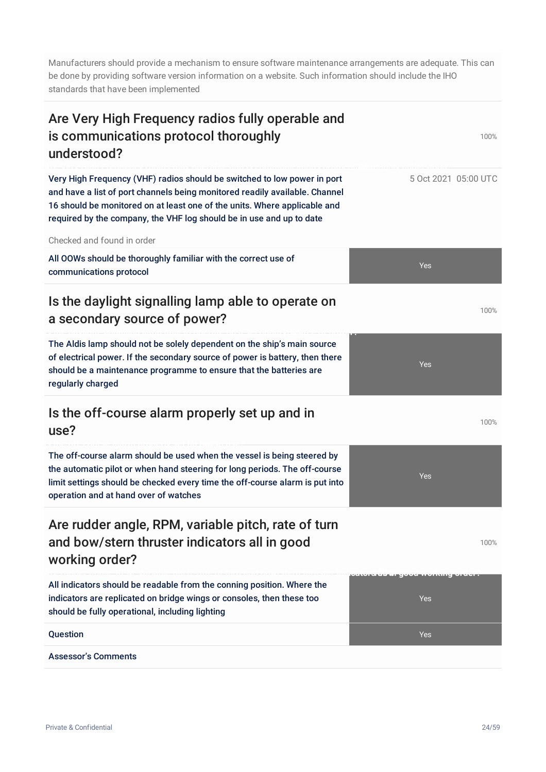Manufacturers should provide a mechanism to ensure software maintenance arrangements are adequate. This can be done by providing software version information on a website. Such information should include the IHO standards that have been implemented

| Are Very High Frequency radios fully operable and<br>is communications protocol thoroughly<br>understood?                                                                                                                                                                                                    | 100%                 |
|--------------------------------------------------------------------------------------------------------------------------------------------------------------------------------------------------------------------------------------------------------------------------------------------------------------|----------------------|
| Very High Frequency (VHF) radios should be switched to low power in port<br>and have a list of port channels being monitored readily available. Channel<br>16 should be monitored on at least one of the units. Where applicable and<br>required by the company, the VHF log should be in use and up to date | 5 Oct 2021 05:00 UTC |
| Checked and found in order                                                                                                                                                                                                                                                                                   |                      |
| All OOWs should be thoroughly familiar with the correct use of<br>communications protocol                                                                                                                                                                                                                    | Yes                  |
| Is the daylight signalling lamp able to operate on<br>a secondary source of power?                                                                                                                                                                                                                           | 100%                 |
| The Aldis lamp should not be solely dependent on the ship's main source<br>of electrical power. If the secondary source of power is battery, then there<br>should be a maintenance programme to ensure that the batteries are<br>regularly charged                                                           | Yes                  |
| Is the off-course alarm properly set up and in<br>use?                                                                                                                                                                                                                                                       | 100%                 |
| The off-course alarm should be used when the vessel is being steered by<br>the automatic pilot or when hand steering for long periods. The off-course<br>limit settings should be checked every time the off-course alarm is put into<br>operation and at hand over of watches                               | Yes                  |
| Are rudder angle, RPM, variable pitch, rate of turn<br>and bow/stern thruster indicators all in good<br>working order?                                                                                                                                                                                       | 100%                 |
| All indicators should be readable from the conning position. Where the<br>indicators are replicated on bridge wings or consoles, then these too<br>should be fully operational, including lighting                                                                                                           | Yes                  |
| <b>Question</b>                                                                                                                                                                                                                                                                                              | Yes                  |
| <b>Assessor's Comments</b>                                                                                                                                                                                                                                                                                   |                      |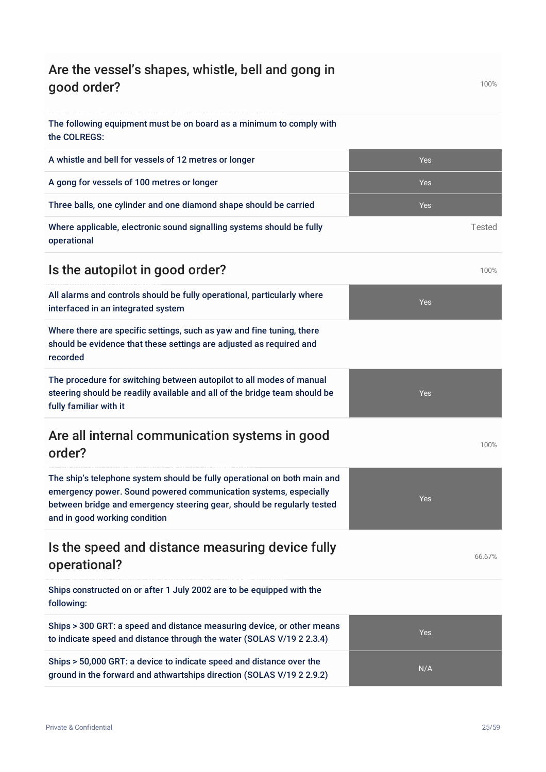| Are the vessel's shapes, whistle, bell and gong in<br>good order?                                                                                                                                                                                       |            | 100%   |
|---------------------------------------------------------------------------------------------------------------------------------------------------------------------------------------------------------------------------------------------------------|------------|--------|
| The following equipment must be on board as a minimum to comply with<br>the COLREGS:                                                                                                                                                                    |            |        |
| A whistle and bell for vessels of 12 metres or longer                                                                                                                                                                                                   | Yes        |        |
| A gong for vessels of 100 metres or longer                                                                                                                                                                                                              | <b>Yes</b> |        |
| Three balls, one cylinder and one diamond shape should be carried                                                                                                                                                                                       | Yes        |        |
| Where applicable, electronic sound signalling systems should be fully<br>operational                                                                                                                                                                    |            | Tested |
| Is the autopilot in good order?                                                                                                                                                                                                                         |            | 100%   |
| All alarms and controls should be fully operational, particularly where<br>interfaced in an integrated system                                                                                                                                           | Yes        |        |
| Where there are specific settings, such as yaw and fine tuning, there<br>should be evidence that these settings are adjusted as required and<br>recorded                                                                                                |            |        |
| The procedure for switching between autopilot to all modes of manual<br>steering should be readily available and all of the bridge team should be<br>fully familiar with it                                                                             | <b>Yes</b> |        |
| Are all internal communication systems in good<br>order?                                                                                                                                                                                                |            | 100%   |
| The ship's telephone system should be fully operational on both main and<br>emergency power. Sound powered communication systems, especially<br>between bridge and emergency steering gear, should be regularly tested<br>and in good working condition | Yes        |        |
| Is the speed and distance measuring device fully<br>operational?                                                                                                                                                                                        |            | 66.67% |
| Ships constructed on or after 1 July 2002 are to be equipped with the<br>following:                                                                                                                                                                     |            |        |
| Ships > 300 GRT: a speed and distance measuring device, or other means<br>to indicate speed and distance through the water (SOLAS V/19 2 2.3.4)                                                                                                         | Yes        |        |
| Ships > 50,000 GRT: a device to indicate speed and distance over the<br>ground in the forward and athwartships direction (SOLAS V/19 2 2.9.2)                                                                                                           | N/A        |        |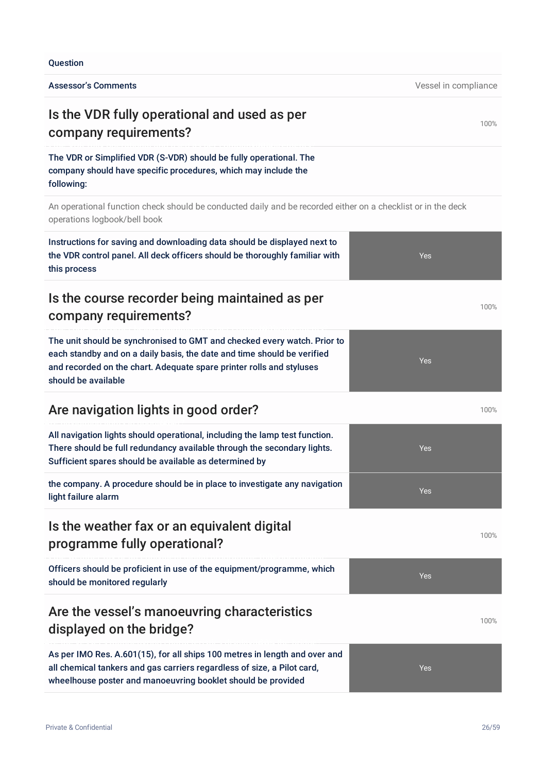#### **Ouestion**

Assessor's Comments **Assessor's Comments Vessel in compliance** 

## Is the VDR fully operational and used as per company requirements?

The VDR or Simplified VDR (S-VDR) should be fully operational. The company should have specific procedures, which may include the following:

An operational function check should be conducted daily and be recorded either on a checklist or in the deck operations logbook/bell book

#### Instructions for saving and downloading data should be displayed next to the VDR control panel. All deck officers should be thoroughly familiar with this process Yes

#### Is the course recorder being maintained as per company requirements?

The unit should be synchronised to GMT and checked every watch. Prior to each standby and on a daily basis, the date and time should be verified and recorded on the chart. Adequate spare printer rolls and styluses should be available

#### Are navigation lights in good order? Are navigation lights in good order?

All navigation lights should operational, including the lamp test function. There should be full redundancy available through the secondary lights. Sufficient spares should be available as determined by

the company. A procedure should be in place to investigate any navigation light failure alarm

#### Is the weather fax or an equivalent digital programme fully operational?

Officers should be proficient in use of the equipment/programme, which should be monitored regularly

#### Are the vessel's manoeuvring characteristics displayed on the bridge?

As per IMO Res. A.601(15), for all ships 100 metres in length and over and all chemical tankers and gas carriers regardless of size, a Pilot card, wheelhouse poster and manoeuvring booklet should be provided







Yes

100%

100%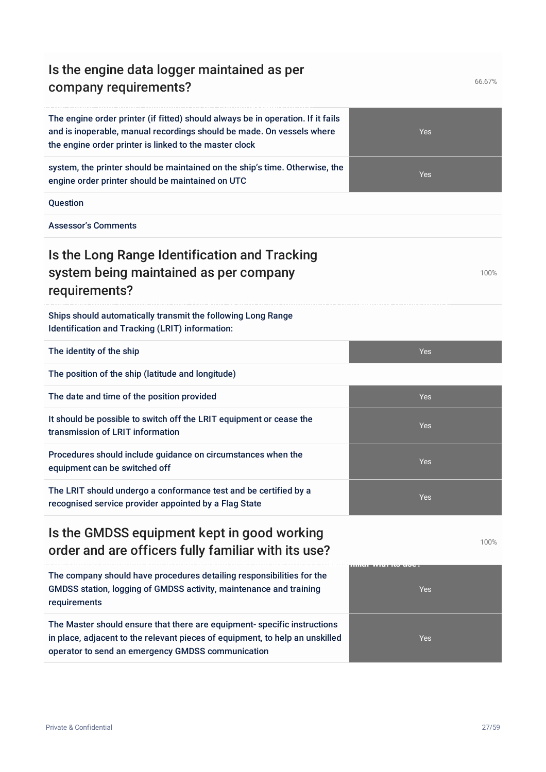## Is the engine data logger maintained as per company requirements?

| The engine order printer (if fitted) should always be in operation. If it fails<br>and is inoperable, manual recordings should be made. On vessels where<br>the engine order printer is linked to the master clock | <b>Yes</b>                |
|--------------------------------------------------------------------------------------------------------------------------------------------------------------------------------------------------------------------|---------------------------|
| system, the printer should be maintained on the ship's time. Otherwise, the<br>engine order printer should be maintained on UTC                                                                                    | <b>Yes</b>                |
| Question                                                                                                                                                                                                           |                           |
| <b>Assessor's Comments</b>                                                                                                                                                                                         |                           |
| Is the Long Range Identification and Tracking<br>system being maintained as per company<br>requirements?                                                                                                           | 100%                      |
| Ships should automatically transmit the following Long Range<br>Identification and Tracking (LRIT) information:                                                                                                    |                           |
| The identity of the ship                                                                                                                                                                                           | Yes                       |
| The position of the ship (latitude and longitude)                                                                                                                                                                  |                           |
| The date and time of the position provided                                                                                                                                                                         | Yes                       |
| It should be possible to switch off the LRIT equipment or cease the<br>transmission of LRIT information                                                                                                            | <b>Yes</b>                |
| Procedures should include guidance on circumstances when the<br>equipment can be switched off                                                                                                                      | Yes                       |
| The LRIT should undergo a conformance test and be certified by a<br>recognised service provider appointed by a Flag State                                                                                          | Yes                       |
| Is the GMDSS equipment kept in good working<br>order and are officers fully familiar with its use?                                                                                                                 | 100%                      |
| The company should have procedures detailing responsibilities for the<br>GMDSS station, logging of GMDSS activity, maintenance and training<br>requirements                                                        | пшен талин колеост<br>Yes |

The Master should ensure that there are equipment- specific instructions in place, adjacent to the relevant pieces of equipment, to help an unskilled operator to send an emergency GMDSS communication

Private & Confidential 27/59

Yes

66.67%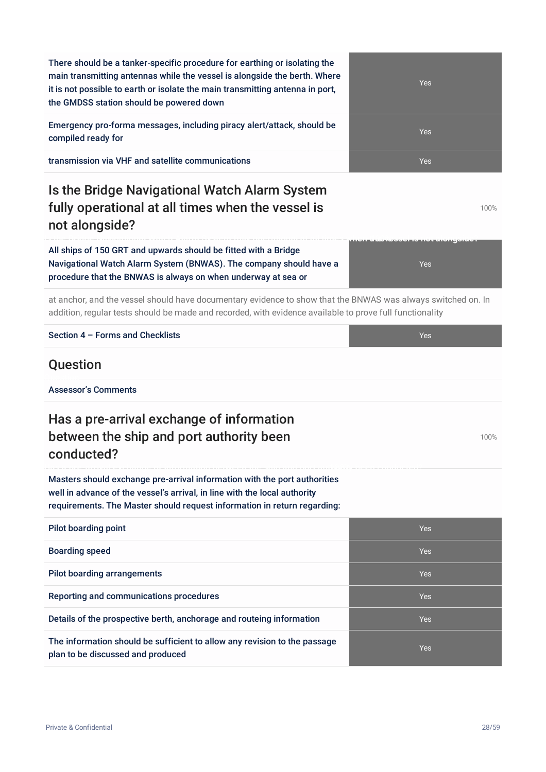| not alongside?                                                                                                                                                                                                                     |                                                 |
|------------------------------------------------------------------------------------------------------------------------------------------------------------------------------------------------------------------------------------|-------------------------------------------------|
| All ships of 150 GRT and upwards should be fitted with a Bridge<br>Navigational Watch Alarm System (BNWAS). The company should have a<br>procedure that the BNWAS is always on when underway at sea or                             | <u>המאוסטונטוג דעון כך וספיסטונטונים</u><br>Yes |
| at anchor, and the vessel should have documentary evidence to show that the BNWAS was always switched on. In<br>addition, regular tests should be made and recorded, with evidence available to prove full functionality           |                                                 |
| Section 4 - Forms and Checklists                                                                                                                                                                                                   | <b>Yes</b>                                      |
| Question                                                                                                                                                                                                                           |                                                 |
| <b>Assessor's Comments</b>                                                                                                                                                                                                         |                                                 |
| Has a pre-arrival exchange of information<br>between the ship and port authority been<br>conducted?                                                                                                                                | 100%                                            |
| Masters should exchange pre-arrival information with the port authorities<br>well in advance of the vessel's arrival, in line with the local authority<br>requirements. The Master should request information in return regarding: |                                                 |
| <b>Pilot boarding point</b>                                                                                                                                                                                                        | Yes                                             |
| <b>Boarding speed</b>                                                                                                                                                                                                              | <b>Yes</b>                                      |
| <b>Pilot boarding arrangements</b>                                                                                                                                                                                                 | Yes                                             |
| Reporting and communications procedures                                                                                                                                                                                            | Yes                                             |
| Details of the prospective berth, anchorage and routeing information                                                                                                                                                               | Yes                                             |
| The information should be sufficient to allow any revision to the passage<br>plan to be discussed and produced                                                                                                                     | Yes                                             |
| Private & Confidential                                                                                                                                                                                                             | 28/59                                           |

transmission via VHF and satellite communications and the communications of the control of the control of the Ves

the GMDSS station should be powered down

## Is the Bridge Navigational Watch Alarm System fully operational at all times when the vessel is no

There should be a tanker-specific procedure for earthing or isolating the main transmitting antennas while the vessel is alongside the berth. Where it is not possible to earth or isolate the main transmitting antenna in port,

Emergency pro-forma messages, including piracy alert/attack, should be

| Section 4 - Forms and Checklists | Yes |
|----------------------------------|-----|
|----------------------------------|-----|

#### Qu

compiled ready for

## Has a pre-arrival exchange of information between the ship and port authority been **co**



100%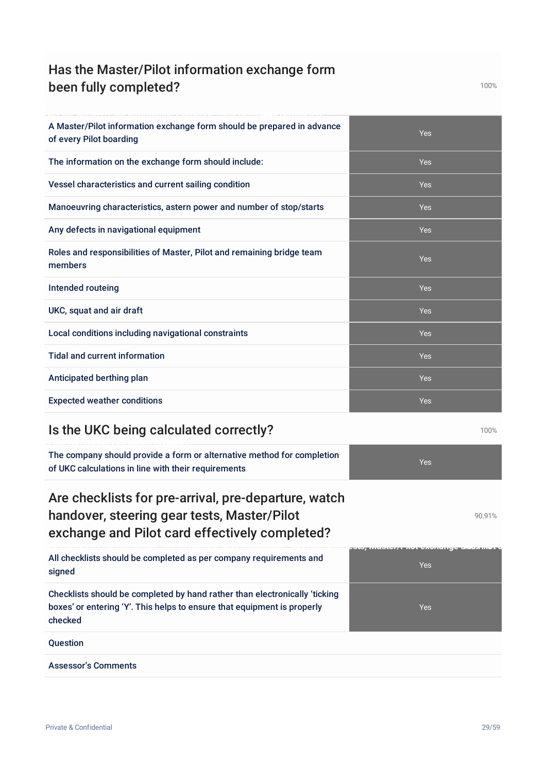## Has the Master/Pilot information exchange form been fully completed?

| A Master/Pilot information exchange form should be prepared in advance<br>of every Pilot boarding | <b>Yes</b> |
|---------------------------------------------------------------------------------------------------|------------|
| The information on the exchange form should include:                                              | <b>Yes</b> |
| Vessel characteristics and current sailing condition                                              | <b>Yes</b> |
| Manoeuvring characteristics, astern power and number of stop/starts                               | <b>Yes</b> |
| Any defects in navigational equipment                                                             | <b>Yes</b> |
| Roles and responsibilities of Master, Pilot and remaining bridge team<br>members                  | Yes        |
| Intended routeing                                                                                 | <b>Yes</b> |
| UKC, squat and air draft                                                                          | <b>Yes</b> |
| Local conditions including navigational constraints                                               | Yes        |
| <b>Tidal and current information</b>                                                              | Yes        |
| Anticipated berthing plan                                                                         | <b>Yes</b> |
| <b>Expected weather conditions</b>                                                                | <b>Yes</b> |

## Is the UKC being calculated correctly? **100%** 100%

The company should provide a form or alternative method for completion of UKC calculations in line with their requirements

## Are checklists for pre-arrival, pre-departure, watch handover, steering gear tests, Master/Pilot exchange and Pilot card effectively completed?

All checklists should be completed as per company requirements and signed

Checklists should be completed by hand rather than electronically 'ticking boxes' or entering 'Y'. This helps to ensure that equipment is properly checked

Question

Assessor's Comments







Private & Confidential 29/59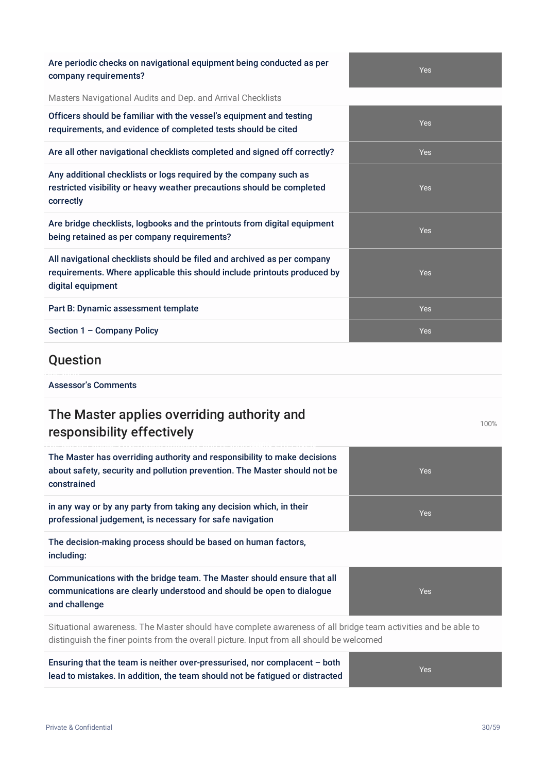| Are periodic criecks on havigational equipment being conducted as per<br>company requirements?                                                                           | Yes  |
|--------------------------------------------------------------------------------------------------------------------------------------------------------------------------|------|
| Masters Navigational Audits and Dep. and Arrival Checklists                                                                                                              |      |
| Officers should be familiar with the vessel's equipment and testing<br>requirements, and evidence of completed tests should be cited                                     | Yes  |
| Are all other navigational checklists completed and signed off correctly?                                                                                                | Yes  |
| Any additional checklists or logs required by the company such as<br>restricted visibility or heavy weather precautions should be completed<br>correctly                 | Yes  |
| Are bridge checklists, logbooks and the printouts from digital equipment<br>being retained as per company requirements?                                                  | Yes  |
| All navigational checklists should be filed and archived as per company<br>requirements. Where applicable this should include printouts produced by<br>digital equipment | Yes  |
| Part B: Dynamic assessment template                                                                                                                                      | Yes  |
| Section 1 - Company Policy                                                                                                                                               | Yes  |
| Question                                                                                                                                                                 |      |
| <b>Assessor's Comments</b>                                                                                                                                               |      |
| The Master applies overriding authority and<br>responsibility effectively                                                                                                | 100% |
| The Master has overriding authority and responsibility to make decisions                                                                                                 |      |

about safety, security and pollution prevention. The Master should not be constrained

in any way or by any party from taking any decision which, in their professional judgement, is necessary for safe navigation

Are periodic checks on navigational equipment being conducted as per

The decision-making process should be based on human factors, including:

Communications with the bridge team. The Master should ensure that all communications are clearly understood and should be open to dialogue and challenge

Situational awareness. The Master should have complete awareness of all bridge team activities and be able to distinguish the finer points from the overall picture. Input from all should be welcomed

Ensuring that the team is neither over-pressurised, nor complacent – both lead to mistakes. In addition, the team should not be fatigued or distracted

Yes

Yes

Yes

Yes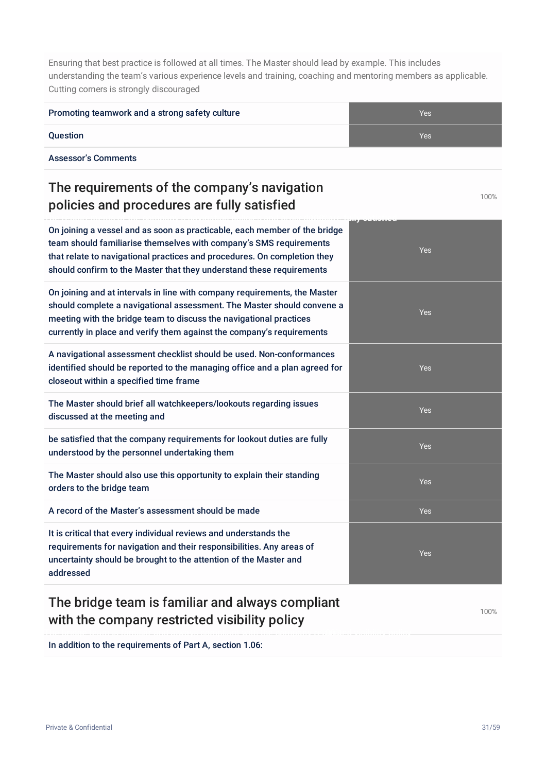Ensuring that best practice is followed at all times. The Master should lead by example. This includes understanding the team's various experience levels and training, coaching and mentoring members as applicable. Cutting corners is strongly discouraged

| Promoting teamwork and a strong safety culture                                                                                                                                                                                                                                                      | Yes        |
|-----------------------------------------------------------------------------------------------------------------------------------------------------------------------------------------------------------------------------------------------------------------------------------------------------|------------|
| <b>Question</b>                                                                                                                                                                                                                                                                                     | <b>Yes</b> |
| <b>Assessor's Comments</b>                                                                                                                                                                                                                                                                          |            |
| The requirements of the company's navigation<br>policies and procedures are fully satisfied                                                                                                                                                                                                         | 100%       |
| On joining a vessel and as soon as practicable, each member of the bridge<br>team should familiarise themselves with company's SMS requirements<br>that relate to navigational practices and procedures. On completion they<br>should confirm to the Master that they understand these requirements | <b>Yes</b> |
| On joining and at intervals in line with company requirements, the Master<br>should complete a navigational assessment. The Master should convene a<br>meeting with the bridge team to discuss the navigational practices<br>currently in place and verify them against the company's requirements  | <b>Yes</b> |
| A navigational assessment checklist should be used. Non-conformances<br>identified should be reported to the managing office and a plan agreed for<br>closeout within a specified time frame                                                                                                        | <b>Yes</b> |
| The Master should brief all watchkeepers/lookouts regarding issues<br>discussed at the meeting and                                                                                                                                                                                                  | Yes        |
| be satisfied that the company requirements for lookout duties are fully<br>understood by the personnel undertaking them                                                                                                                                                                             | Yes        |
| The Master should also use this opportunity to explain their standing<br>orders to the bridge team                                                                                                                                                                                                  | Yes        |
| A record of the Master's assessment should be made                                                                                                                                                                                                                                                  | Yes        |
| It is critical that every individual reviews and understands the<br>requirements for navigation and their responsibilities. Any areas of<br>uncertainty should be brought to the attention of the Master and<br>addressed                                                                           | Yes        |

## The bridge team is familiar and always compliant with the company restricted visibility policy

100%

In addition to the requirements of Part A, section 1.06: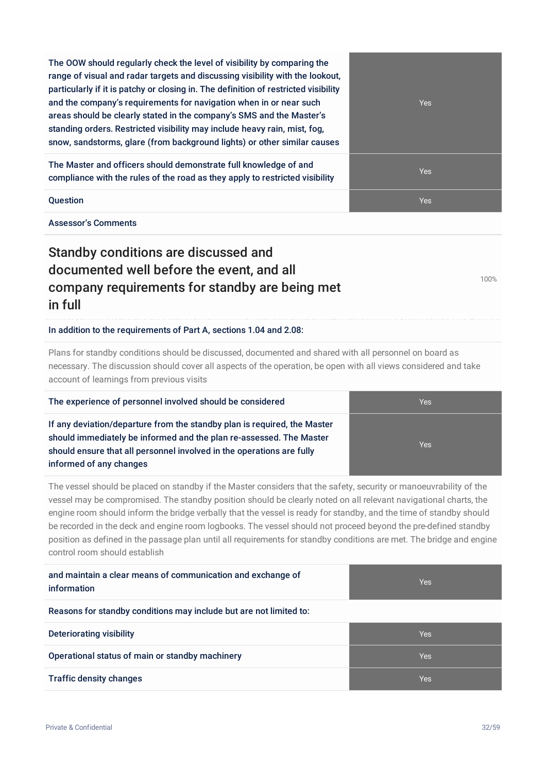The OOW should regularly check the level of visibility by comparing the range of visual and radar targets and discussing visibility with the lookout, particularly if it is patchy or closing in. The definition of restricted visibility and the company's requirements for navigation when in or near such areas should be clearly stated in the company's SMS and the Master's standing orders. Restricted visibility may include heavy rain, mist, fog, snow, sandstorms, glare (from background lights) or other similar causes

The Master and officers should demonstrate full knowledge of and compliance with the rules of the road as they apply to restricted visibility

Assessor's Comments

## Standby conditions are discussed and documented well before the event, and all company requirements for standby are being met in full

In addition to the requirements of Part A, sections 1.04 and 2.08:

Plans for standby conditions should be discussed, documented and shared with all personnel on board as necessary. The discussion should cover all aspects of the operation, be open with all views considered and take account of learnings from previous visits

| The experience of personnel involved should be considered                                                                                                                                                                                           | <b>Yes</b> |
|-----------------------------------------------------------------------------------------------------------------------------------------------------------------------------------------------------------------------------------------------------|------------|
| If any deviation/departure from the standby plan is required, the Master<br>should immediately be informed and the plan re-assessed. The Master<br>should ensure that all personnel involved in the operations are fully<br>informed of any changes | <b>Yes</b> |

The vessel should be placed on standby if the Master considers that the safety, security or manoeuvrability of the vessel may be compromised. The standby position should be clearly noted on all relevant navigational charts, the engine room should inform the bridge verbally that the vessel is ready for standby, and the time of standby should be recorded in the deck and engine room logbooks. The vessel should not proceed beyond the pre-defined standby position as defined in the passage plan until all requirements for standby conditions are met. The bridge and engine control room should establish

| and maintain a clear means of communication and exchange of<br>information | <b>Yes</b> |
|----------------------------------------------------------------------------|------------|
| Reasons for standby conditions may include but are not limited to:         |            |
| Deteriorating visibility                                                   | <b>Yes</b> |
| Operational status of main or standby machinery                            | <b>Yes</b> |
| <b>Traffic density changes</b>                                             | <b>Yes</b> |
|                                                                            |            |

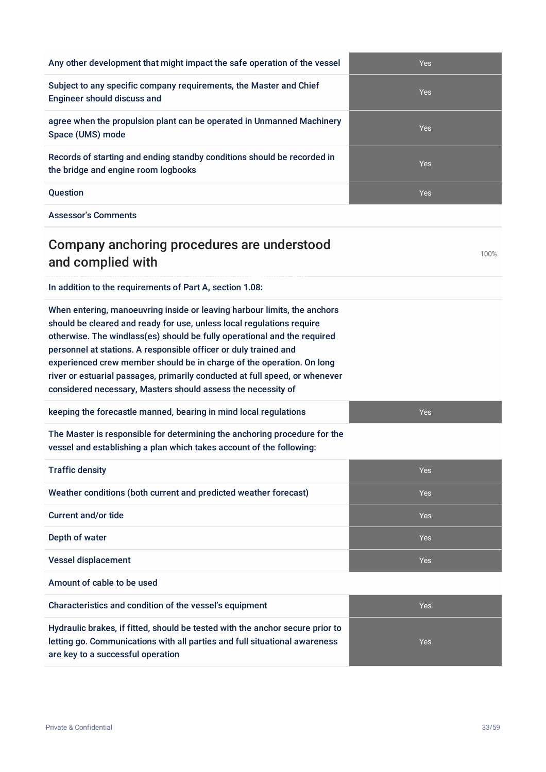| <b>Assessor's Comments</b>                                                                                                                                                                                                                                                                                                                                                                                                                                                                                                |            |
|---------------------------------------------------------------------------------------------------------------------------------------------------------------------------------------------------------------------------------------------------------------------------------------------------------------------------------------------------------------------------------------------------------------------------------------------------------------------------------------------------------------------------|------------|
| Company anchoring procedures are understood<br>and complied with                                                                                                                                                                                                                                                                                                                                                                                                                                                          | 100%       |
| In addition to the requirements of Part A, section 1.08:                                                                                                                                                                                                                                                                                                                                                                                                                                                                  |            |
| When entering, manoeuvring inside or leaving harbour limits, the anchors<br>should be cleared and ready for use, unless local regulations require<br>otherwise. The windlass(es) should be fully operational and the required<br>personnel at stations. A responsible officer or duly trained and<br>experienced crew member should be in charge of the operation. On long<br>river or estuarial passages, primarily conducted at full speed, or whenever<br>considered necessary, Masters should assess the necessity of |            |
| keeping the forecastle manned, bearing in mind local regulations                                                                                                                                                                                                                                                                                                                                                                                                                                                          | Yes        |
| The Master is responsible for determining the anchoring procedure for the<br>vessel and establishing a plan which takes account of the following:                                                                                                                                                                                                                                                                                                                                                                         |            |
| <b>Traffic density</b>                                                                                                                                                                                                                                                                                                                                                                                                                                                                                                    | Yes        |
| Weather conditions (both current and predicted weather forecast)                                                                                                                                                                                                                                                                                                                                                                                                                                                          | Yes        |
| <b>Current and/or tide</b>                                                                                                                                                                                                                                                                                                                                                                                                                                                                                                | Yes        |
| Depth of water                                                                                                                                                                                                                                                                                                                                                                                                                                                                                                            | <b>Yes</b> |
| <b>Vessel displacement</b>                                                                                                                                                                                                                                                                                                                                                                                                                                                                                                | Yes        |
| Amount of cable to be used                                                                                                                                                                                                                                                                                                                                                                                                                                                                                                |            |
| Characteristics and condition of the vessel's equipment                                                                                                                                                                                                                                                                                                                                                                                                                                                                   | Yes        |
| Hydraulic brakes, if fitted, should be tested with the anchor secure prior to<br>letting go. Communications with all parties and full situational awareness<br>are key to a successful operation                                                                                                                                                                                                                                                                                                                          | Yes        |
|                                                                                                                                                                                                                                                                                                                                                                                                                                                                                                                           |            |

Any other development that might impact the safe operation of the vessel Yes Subject to any specific company requirements, the Master and Chief Yes agree when the propulsion plant can be operated in Unmanned Machinery Yes Records of starting and ending standby conditions should be recorded in Yes

**Question According to the Contract of Contract Contract of Contract Contract Contract Oriental According to the Ves** 

Engineer should discuss and

the bridge and engine room logbooks

Space (UMS) mode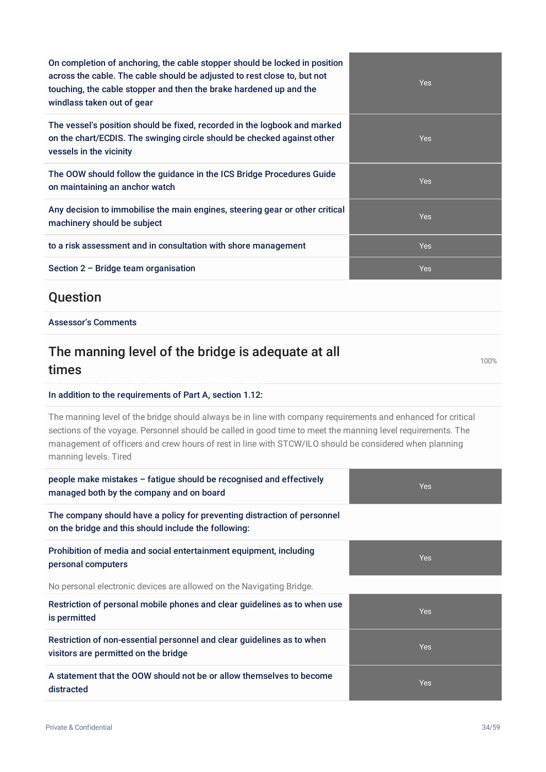On completion of anchoring, the cable stopper should be locked in position across the cable. The cable should be adjusted to rest close to, but not touching, the cable stopper and then the brake hardened up and the windlass taken out of gear

The vessel's position should be fixed, recorded in the logbook and marked on the chart/ECDIS. The swinging circle should be checked against other vessels in the vicinity

The OOW should follow the guidance in the ICS Bridge Procedures Guide on maintaining an anchor watch

Any decision to immobilise the main engines, steering gear or other critical machinery should be subject

to a risk assessment and in consultation with shore management

Section  $2$  – Bridge team organisation

#### **Ouestion**

#### Assessor's Comments

#### The manning level of the bridge is adequate at all times

#### In addition to the requirements of Part A, section 1.12:

The manning level of the bridge should always be in line with company requirements and enhanced for critical sections of the voyage. Personnel should be called in good time to meet the manning level requirements. The management of officers and crew hours of rest in line with STCW/ILO should be considered when planning manning levels. Tired

| people make mistakes - fatigue should be recognised and effectively<br>managed both by the company and on board                  | <b>Yes</b> |
|----------------------------------------------------------------------------------------------------------------------------------|------------|
| The company should have a policy for preventing distraction of personnel<br>on the bridge and this should include the following: |            |
| Prohibition of media and social entertainment equipment, including<br>personal computers                                         | <b>Yes</b> |
| No personal electronic devices are allowed on the Navigating Bridge.                                                             |            |
| Restriction of personal mobile phones and clear guidelines as to when use<br>is permitted                                        | <b>Yes</b> |
| Restriction of non-essential personnel and clear guidelines as to when<br>visitors are permitted on the bridge                   | <b>Yes</b> |
| A statement that the OOW should not be or allow themselves to become<br>distracted                                               | <b>Yes</b> |

| Yes |
|-----|
| Yes |
| Yes |
| Yes |
| Yes |
| Yes |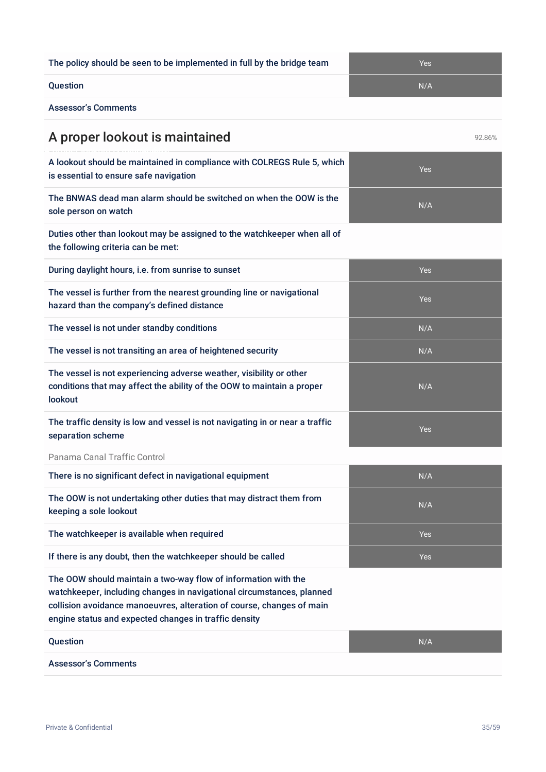| A proper lookout is maintained                                                                                                                                                                                                                                            |            | 92.86% |
|---------------------------------------------------------------------------------------------------------------------------------------------------------------------------------------------------------------------------------------------------------------------------|------------|--------|
| A lookout should be maintained in compliance with COLREGS Rule 5, which<br>is essential to ensure safe navigation                                                                                                                                                         | <b>Yes</b> |        |
| The BNWAS dead man alarm should be switched on when the OOW is the<br>sole person on watch                                                                                                                                                                                | N/A        |        |
| Duties other than lookout may be assigned to the watchkeeper when all of<br>the following criteria can be met:                                                                                                                                                            |            |        |
| During daylight hours, i.e. from sunrise to sunset                                                                                                                                                                                                                        | Yes        |        |
| The vessel is further from the nearest grounding line or navigational<br>hazard than the company's defined distance                                                                                                                                                       | Yes        |        |
| The vessel is not under standby conditions                                                                                                                                                                                                                                | N/A        |        |
| The vessel is not transiting an area of heightened security                                                                                                                                                                                                               | N/A        |        |
| The vessel is not experiencing adverse weather, visibility or other<br>conditions that may affect the ability of the OOW to maintain a proper<br>lookout                                                                                                                  | N/A        |        |
| The traffic density is low and vessel is not navigating in or near a traffic<br>separation scheme                                                                                                                                                                         | <b>Yes</b> |        |
| Panama Canal Traffic Control                                                                                                                                                                                                                                              |            |        |
| There is no significant defect in navigational equipment                                                                                                                                                                                                                  | N/A        |        |
| The OOW is not undertaking other duties that may distract them from<br>keeping a sole lookout                                                                                                                                                                             | N/A        |        |
| The watchkeeper is available when required                                                                                                                                                                                                                                | Yes        |        |
| If there is any doubt, then the watchkeeper should be called                                                                                                                                                                                                              | Yes        |        |
| The OOW should maintain a two-way flow of information with the<br>watchkeeper, including changes in navigational circumstances, planned<br>collision avoidance manoeuvres, alteration of course, changes of main<br>engine status and expected changes in traffic density |            |        |
| Question                                                                                                                                                                                                                                                                  | N/A        |        |
| <b>Assessor's Comments</b>                                                                                                                                                                                                                                                |            |        |
|                                                                                                                                                                                                                                                                           |            |        |
|                                                                                                                                                                                                                                                                           |            |        |
| Private & Confidential                                                                                                                                                                                                                                                    |            | 35/59  |

## The policy should be seen to be implemented in full by the bridge team Yes

Question N/A

Assessor's Comments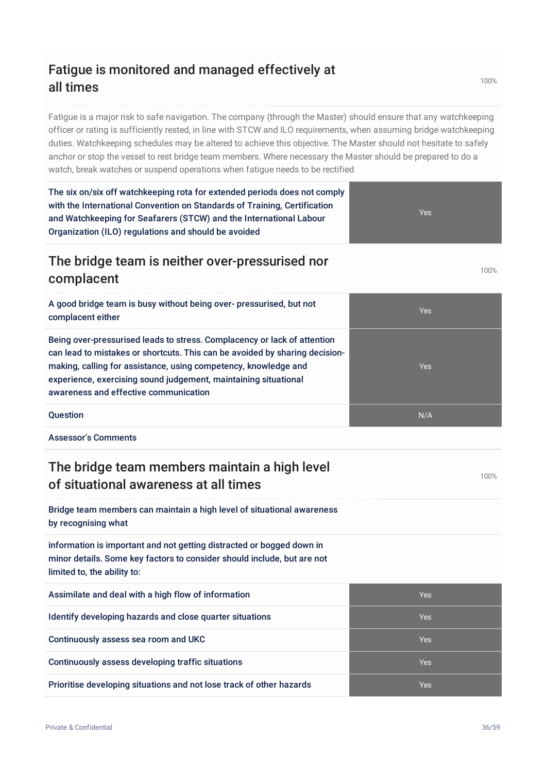## Fatigue is monitored and managed effectively at all times

Fatigue is a major risk to safe navigation. The company (through the Master) should ensure that any watchkeeping officer or rating is sufficiently rested, in line with STCW and ILO requirements, when assuming bridge watchkeeping duties. Watchkeeping schedules may be altered to achieve this objective. The Master should not hesitate to safely anchor or stop the vessel to rest bridge team members. Where necessary the Master should be prepared to do a watch, break watches or suspend operations when fatigue needs to be rectified

The six on/six off watchkeeping rota for extended periods does not comply with the International Convention on Standards of Training, Certification and Watchkeeping for Seafarers (STCW) and the International Labour Organization (ILO) regulations and should be avoided

#### The bridge team is neither over-pressurised nor complacent

A good bridge team is busy without being over- pressurised, but not complacent either

Being over-pressurised leads to stress. Complacency or lack of attention can lead to mistakes or shortcuts. This can be avoided by sharing decisionmaking, calling for assistance, using competency, knowledge and experience, exercising sound judgement, maintaining situational awareness and effective communication

Question N/A

Assessor's Comments

## The bridge team members maintain a high level of situational awareness at all times

Bridge team members can maintain a high level of situational awareness by recognising what

information is important and not getting distracted or bogged down in minor details. Some key factors to consider should include, but are not limited to, the ability to:

| Assimilate and deal with a high flow of information                  | <b>Yes</b> |
|----------------------------------------------------------------------|------------|
| Identify developing hazards and close quarter situations             | <b>Yes</b> |
| Continuously assess sea room and UKC                                 | <b>Yes</b> |
| Continuously assess developing traffic situations                    | <b>Yes</b> |
| Prioritise developing situations and not lose track of other hazards | <b>Yes</b> |

100%

100%

Yes

Yes

Yes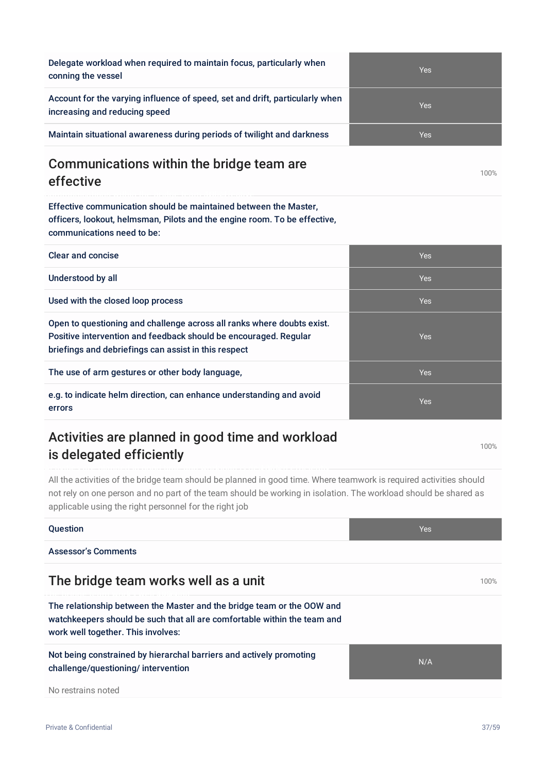| conning the vessel                                                                                            | <b>Yes</b> |
|---------------------------------------------------------------------------------------------------------------|------------|
| Account for the varying influence of speed, set and drift, particularly when<br>increasing and reducing speed | Yes        |
| Maintain situational awareness during periods of twilight and darkness                                        | Yes        |
| Communications within the bridge toom are                                                                     |            |

#### Communications within the bridge team are effective

Delegate workload when required to maintain focus, particularly when

Effective communication should be maintained between the Master, officers, lookout, helmsman, Pilots and the engine room. To be effective, communications need to be:

| <b>Clear and concise</b>                                                                                                                                                                           | <b>Yes</b> |
|----------------------------------------------------------------------------------------------------------------------------------------------------------------------------------------------------|------------|
| Understood by all                                                                                                                                                                                  | <b>Yes</b> |
| Used with the closed loop process                                                                                                                                                                  | <b>Yes</b> |
| Open to questioning and challenge across all ranks where doubts exist.<br>Positive intervention and feedback should be encouraged. Regular<br>briefings and debriefings can assist in this respect | <b>Yes</b> |
| The use of arm gestures or other body language,                                                                                                                                                    | <b>Yes</b> |
| e.g. to indicate helm direction, can enhance understanding and avoid<br>errors                                                                                                                     | <b>Yes</b> |

## Activities are planned in good time and workload is delegated efficiently

All the activities of the bridge team should be planned in good time. Where teamwork is required activities should not rely on one person and no part of the team should be working in isolation. The workload should be shared as applicable using the right personnel for the right job

## **Question According to the Contract of Contract Contract of Contract Contract Contract Oriental According to the Ves** Assessor's Comments The bridge team works well as a unit 100% of the bridge team works well as a unit The relationship between the Master and the bridge team or the OOW and watchkeepers should be such that all are comfortable within the team and work well together. This involves: Not being constrained by hierarchal barriers and actively promoting challenge/questioning/ intervention N/A No restrains noted

100%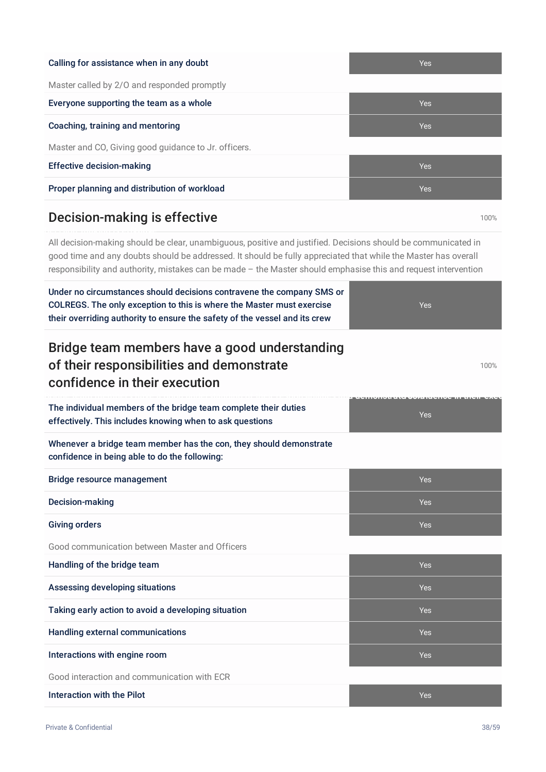| Calling for assistance when in any doubt             | <b>Yes</b> |
|------------------------------------------------------|------------|
| Master called by 2/0 and responded promptly          |            |
| Everyone supporting the team as a whole              | <b>Yes</b> |
| Coaching, training and mentoring                     | <b>Yes</b> |
| Master and CO, Giving good guidance to Jr. officers. |            |
| <b>Effective decision-making</b>                     | <b>Yes</b> |
| Proper planning and distribution of workload         | <b>Yes</b> |

## Decision-making is effective 100% and the 100% of 100% of 100% and 100% of 100% of 100% of 100% of 100% of 100% of 100% of 100% of 100% of 100% of 100% of 100% of 100% of 100% of 100% of 100% of 100% of 100% of 100% of 100

All decision-making should be clear, unambiguous, positive and justified. Decisions should be communicated in good time and any doubts should be addressed. It should be fully appreciated that while the Master has overall responsibility and authority, mistakes can be made – the Master should emphasise this and request intervention

| Under no circumstances should decisions contravene the company SMS or                                                                               |            |
|-----------------------------------------------------------------------------------------------------------------------------------------------------|------------|
| COLREGS. The only exception to this is where the Master must exercise<br>their overriding authority to ensure the safety of the vessel and its crew | <b>Yes</b> |
| Bridge team members have a good understanding                                                                                                       |            |
| of their responsibilities and demonstrate<br>confidence in their execution                                                                          | 100%       |
| The individual members of the bridge team complete their duties<br>effectively. This includes knowing when to ask questions                         | <b>Yes</b> |
| Whenever a bridge team member has the con, they should demonstrate<br>confidence in being able to do the following:                                 |            |
| <b>Bridge resource management</b>                                                                                                                   | <b>Yes</b> |
| Decision-making                                                                                                                                     | <b>Yes</b> |
| <b>Giving orders</b>                                                                                                                                | <b>Yes</b> |
| Good communication between Master and Officers                                                                                                      |            |
| Handling of the bridge team                                                                                                                         | <b>Yes</b> |
| Assessing developing situations                                                                                                                     | <b>Yes</b> |
| Taking early action to avoid a developing situation                                                                                                 | <b>Yes</b> |
| <b>Handling external communications</b>                                                                                                             | <b>Yes</b> |
| Interactions with engine room                                                                                                                       | <b>Yes</b> |
| Good interaction and communication with ECR                                                                                                         |            |
| <b>Interaction with the Pilot</b>                                                                                                                   | <b>Yes</b> |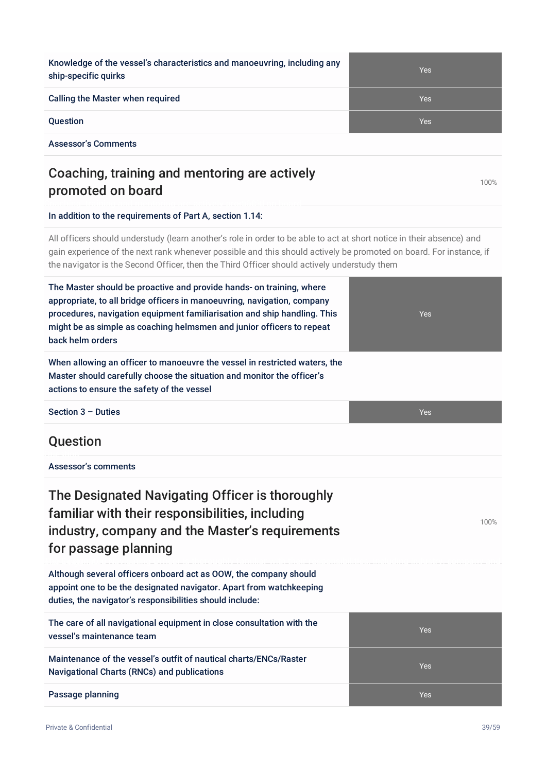Knowledge of the vessel's characteristics and manoeuvring, including any ship-specific quirks

Calling the Master when required The Contract of the Contract of Testam Testam Testam Testam Testam Testam Testam Testam Testam Testam Testam Testam Testam Testam Testam Testam Testam Testam Testam Testam Testam Testam Tes

Assessor's Comments

## Coaching, training and mentoring are actively promoted on board

#### In addition to the requirements of Part A, section 1.14:

All officers should understudy (learn another's role in order to be able to act at short notice in their absence) and gain experience of the next rank whenever possible and this should actively be promoted on board. For instance, if the navigator is the Second Officer, then the Third Officer should actively understudy them

| The Master should be proactive and provide hands- on training, where<br>appropriate, to all bridge officers in manoeuvring, navigation, company<br>procedures, navigation equipment familiarisation and ship handling. This<br>might be as simple as coaching helmsmen and junior officers to repeat<br>back helm orders | Yes        |
|--------------------------------------------------------------------------------------------------------------------------------------------------------------------------------------------------------------------------------------------------------------------------------------------------------------------------|------------|
| When allowing an officer to manoeuvre the vessel in restricted waters, the<br>Master should carefully choose the situation and monitor the officer's<br>actions to ensure the safety of the vessel                                                                                                                       |            |
| Section $3$ – Duties                                                                                                                                                                                                                                                                                                     | <b>Yes</b> |
| Question                                                                                                                                                                                                                                                                                                                 |            |
| Assessor's comments                                                                                                                                                                                                                                                                                                      |            |
| The Designated Navigating Officer is thoroughly<br>familiar with their responsibilities, including<br>industry, company and the Master's requirements<br>for passage planning                                                                                                                                            | 100%       |
| Although several officers onboard act as OOW, the company should<br>appoint one to be the designated navigator. Apart from watchkeeping<br>duties, the navigator's responsibilities should include:                                                                                                                      |            |
| The care of all navigational equipment in close consultation with the<br>vessel's maintenance team                                                                                                                                                                                                                       | <b>Yes</b> |
| Maintenance of the vessel's outfit of nautical charts/ENCs/Raster<br><b>Navigational Charts (RNCs) and publications</b>                                                                                                                                                                                                  | Yes        |
| Passage planning                                                                                                                                                                                                                                                                                                         | <b>Yes</b> |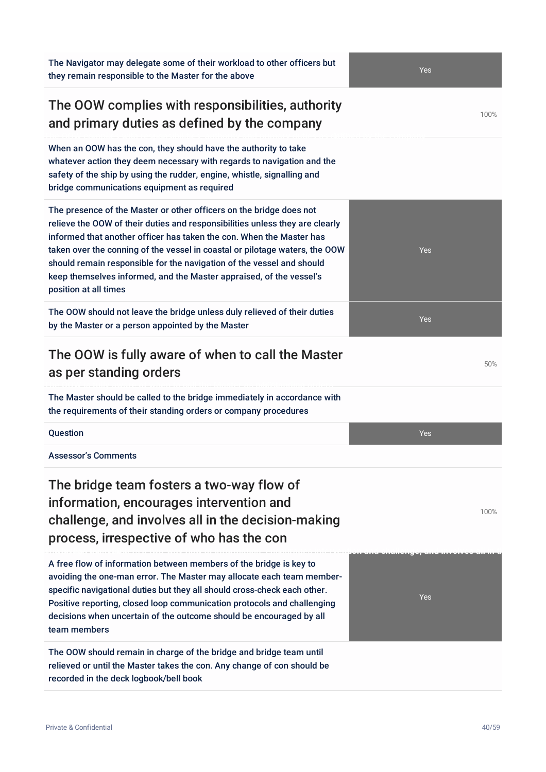The Navigator may delegate some of their workload to other officers but they remain responsible to the Master for the above

#### The OOW complies with responsibilities, authority and primary duties as defined by the company

When an OOW has the con, they should have the authority to take whatever action they deem necessary with regards to navigation and the safety of the ship by using the rudder, engine, whistle, signalling and bridge communications equipment as required

The presence of the Master or other officers on the bridge does not relieve the OOW of their duties and responsibilities unless they are clearly informed that another officer has taken the con. When the Master has taken over the conning of the vessel in coastal or pilotage waters, the OOW should remain responsible for the navigation of the vessel and should keep themselves informed, and the Master appraised, of the vessel's position at all times

The OOW should not leave the bridge unless duly relieved of their duties by the Master or a person appointed by the Master

#### The OOW is fully aware of when to call the Master as per standing orders

The Master should be called to the bridge immediately in accordance with the requirements of their standing orders or company procedures

Assessor's Comments

The bridge team fosters a two-way flow of information, encourages intervention and challenge, and involves all in the decision-making process, irrespective of who has the con

A free flow of information between members of the bridge is key to avoiding the one-man error. The Master may allocate each team memberspecific navigational duties but they all should cross-check each other. Positive reporting, closed loop communication protocols and challenging decisions when uncertain of the outcome should be encouraged by all team members

The OOW should remain in charge of the bridge and bridge team until relieved or until the Master takes the con. Any change of con should be recorded in the deck logbook/bell book

Yes



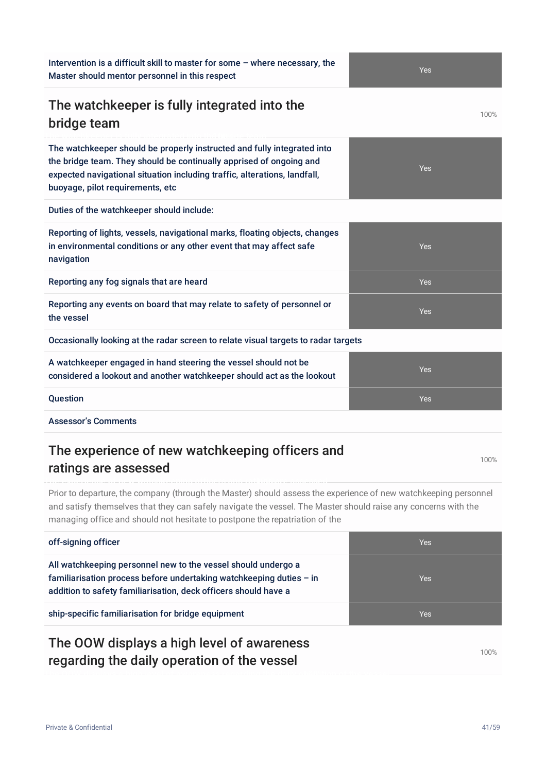#### Intervention is a difficult skill to master for some – where necessary, the Master should mentor personnel in this respect

## The watchkeeper is fully integrated into the bridge team

The watchkeeper should be properly instructed and fully integrated into the bridge team. They should be continually apprised of ongoing and expected navigational situation including traffic, alterations, landfall, buoyage, pilot requirements, etc

Duties of the watchkeeper should include:

| Reporting of lights, vessels, navigational marks, floating objects, changes<br>in environmental conditions or any other event that may affect safe<br>navigation | Yes        |  |
|------------------------------------------------------------------------------------------------------------------------------------------------------------------|------------|--|
| Reporting any fog signals that are heard                                                                                                                         | Yes        |  |
| Reporting any events on board that may relate to safety of personnel or<br>the vessel                                                                            | <b>Yes</b> |  |
| Occasionally looking at the radar screen to relate visual targets to radar targets                                                                               |            |  |
| A watchkeeper engaged in hand steering the vessel should not be<br>considered a lookout and another watchkeeper should act as the lookout                        | <b>Yes</b> |  |
| <b>Question</b>                                                                                                                                                  | <b>Yes</b> |  |
|                                                                                                                                                                  |            |  |

Assessor's Comments

## The experience of new watchkeeping officers and ratings are assessed

Prior to departure, the company (through the Master) should assess the experience of new watchkeeping personnel and satisfy themselves that they can safely navigate the vessel. The Master should raise any concerns with the managing office and should not hesitate to postpone the repatriation of the

| off-signing officer                                                                                                                                                                                       | Yes        |
|-----------------------------------------------------------------------------------------------------------------------------------------------------------------------------------------------------------|------------|
| All watchkeeping personnel new to the vessel should undergo a<br>familiarisation process before undertaking watchkeeping duties $-$ in<br>addition to safety familiarisation, deck officers should have a | <b>Yes</b> |
| ship-specific familiarisation for bridge equipment                                                                                                                                                        | <b>Yes</b> |
|                                                                                                                                                                                                           |            |

## The OOW displays a high level of awareness regarding the daily operation of the vessel

100%





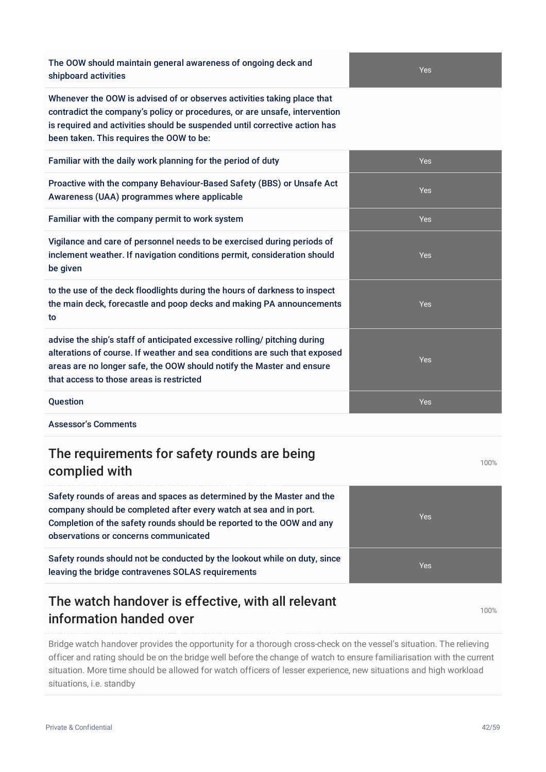The OOW should maintain general awareness of ongoing deck and shipboard activities

Whenever the OOW is advised of or observes activities taking place that contradict the company's policy or procedures, or are unsafe, intervention is required and activities should be suspended until corrective action has been taken. This requires the OOW to be:

| Familiar with the daily work planning for the period of duty                                                                                                                                                                                                                 | <b>Yes</b> |
|------------------------------------------------------------------------------------------------------------------------------------------------------------------------------------------------------------------------------------------------------------------------------|------------|
| Proactive with the company Behaviour-Based Safety (BBS) or Unsafe Act<br>Awareness (UAA) programmes where applicable                                                                                                                                                         | <b>Yes</b> |
| Familiar with the company permit to work system                                                                                                                                                                                                                              | <b>Yes</b> |
| Vigilance and care of personnel needs to be exercised during periods of<br>inclement weather. If navigation conditions permit, consideration should<br>be given                                                                                                              | <b>Yes</b> |
| to the use of the deck floodlights during the hours of darkness to inspect<br>the main deck, forecastle and poop decks and making PA announcements<br>to                                                                                                                     | <b>Yes</b> |
| advise the ship's staff of anticipated excessive rolling/ pitching during<br>alterations of course. If weather and sea conditions are such that exposed<br>areas are no longer safe, the OOW should notify the Master and ensure<br>that access to those areas is restricted | <b>Yes</b> |
| <b>Question</b>                                                                                                                                                                                                                                                              | <b>Yes</b> |

Assessor's Comments

## The requirements for safety rounds are being complied with

Safety rounds of areas and spaces as determined by the Master and the company should be completed after every watch at sea and in port. Completion of the safety rounds should be reported to the OOW and any observations or concerns communicated

Safety rounds should not be conducted by the lookout while on duty, since leaving the bridge contravenes SOLAS requirements

#### The watch handover is effective, with all relevant information handed over

Bridge watch handover provides the opportunity for a thorough cross-check on the vessel's situation. The relieving officer and rating should be on the bridge well before the change of watch to ensure familiarisation with the current situation. More time should be allowed for watch officers of lesser experience, new situations and high workload situations, i.e. standby

Yes

Yes

100%

100%

Yes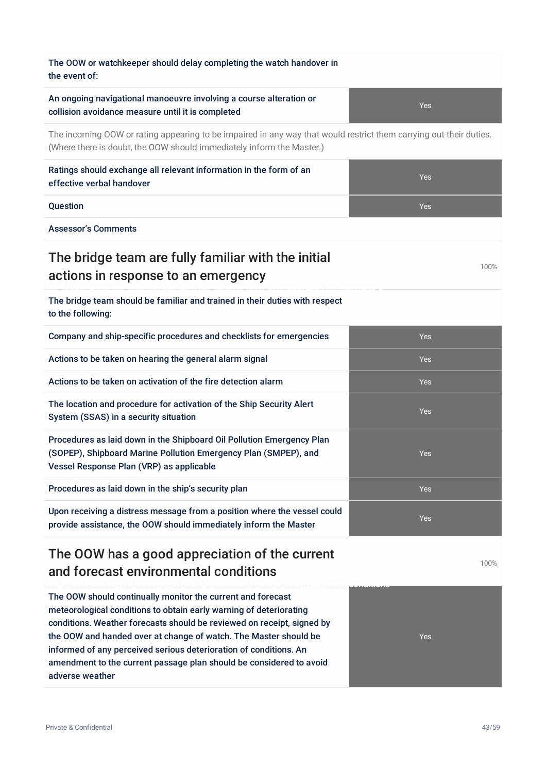| The OOW or watchkeeper should delay completing the watch handover in<br>the event of:                                                                                                       |            |
|---------------------------------------------------------------------------------------------------------------------------------------------------------------------------------------------|------------|
| An ongoing navigational manoeuvre involving a course alteration or<br>collision avoidance measure until it is completed                                                                     | Yes        |
| The incoming OOW or rating appearing to be impaired in any way that would restrict them carrying out their duties.<br>(Where there is doubt, the OOW should immediately inform the Master.) |            |
| Ratings should exchange all relevant information in the form of an<br>effective verbal handover                                                                                             | Yes        |
| Question                                                                                                                                                                                    | <b>Yes</b> |
| <b>Assessor's Comments</b>                                                                                                                                                                  |            |
| The bridge team are fully familiar with the initial<br>actions in response to an emergency                                                                                                  | 100%       |
| The bridge team should be familiar and trained in their duties with respect<br>to the following:                                                                                            |            |
| Company and ship-specific procedures and checklists for emergencies                                                                                                                         | Yes        |
| Actions to be taken on hearing the general alarm signal                                                                                                                                     | Yes        |
| Actions to be taken on activation of the fire detection alarm                                                                                                                               | <b>Yes</b> |
| The location and procedure for activation of the Ship Security Alert<br>System (SSAS) in a security situation                                                                               | Yes        |
| Procedures as laid down in the Shipboard Oil Pollution Emergency Plan<br>(SOPEP), Shipboard Marine Pollution Emergency Plan (SMPEP), and<br>Vessel Response Plan (VRP) as applicable        | Yes        |
| Procedures as laid down in the ship's security plan                                                                                                                                         | Yes        |
| Upon receiving a distress message from a position where the vessel could<br>provide assistance, the OOW should immediately inform the Master                                                | Yes        |
| The OOW has a good appreciation of the current<br>and forecast environmental conditions                                                                                                     | 100%       |

The OOW should continually monitor the current and forecast meteorological conditions to obtain early warning of deteriorating conditions. Weather forecasts should be reviewed on receipt, signed by the OOW and handed over at change of watch. The Master should be informed of any perceived serious deterioration of conditions. An amendment to the current passage plan should be considered to avoid adverse weather

Yes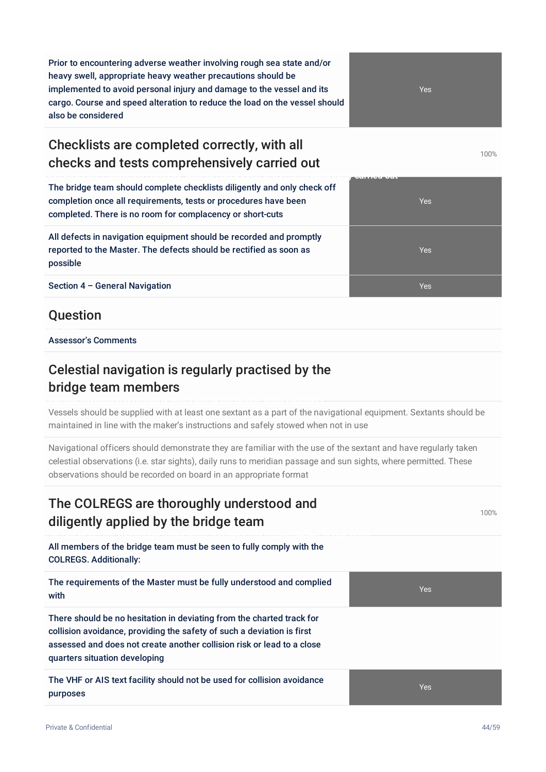Prior to encountering adverse weather involving rough sea state and/or heavy swell, appropriate heavy weather precautions should be implemented to avoid personal injury and damage to the vessel and its cargo. Course and speed alteration to reduce the load on the vessel should also be considered

## Checklists are completed correctly, with all checks and tests comprehensively carried out

The bridge team should complete checklists diligently and only check off completion once all requirements, tests or procedures have been completed. There is no room for complacency or short-cuts

All defects in navigation equipment should be recorded and promptly reported to the Master. The defects should be rectified as soon as possible

**Section 4 – General Navigation Yes All Accords Accords Accords** Yes All Accords Accords Accords Accords Accords A

#### **Question**

Assessor's Comments

#### Celestial navigation is regularly practised by the bridge team members

Vessels should be supplied with at least one sextant as a part of the navigational equipment. Sextants should be maintained in line with the maker's instructions and safely stowed when not in use

Navigational officers should demonstrate they are familiar with the use of the sextant and have regularly taken celestial observations (i.e. star sights), daily runs to meridian passage and sun sights, where permitted. These observations should be recorded on board in an appropriate format

#### The COLREGS are thoroughly understood and diligently applied by the bridge team

All members of the bridge team must be seen to fully comply with the COLREGS. Additionally:

The requirements of the Master must be fully understood and complied with

There should be no hesitation in deviating from the charted track for collision avoidance, providing the safety of such a deviation is first assessed and does not create another collision risk or lead to a close quarters situation developing

The VHF or AIS text facility should not be used for collision avoidance purposes



100%



Yes

Yes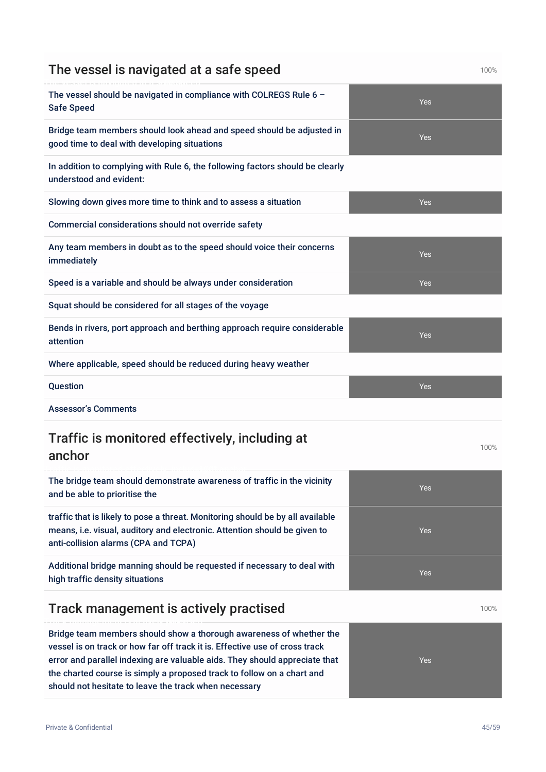| The vessel should be navigated in compliance with COLREGS Rule 6 -<br>Yes<br><b>Safe Speed</b><br>Bridge team members should look ahead and speed should be adjusted in<br>Yes<br>good time to deal with developing situations<br>In addition to complying with Rule 6, the following factors should be clearly<br>understood and evident:<br>Slowing down gives more time to think and to assess a situation<br>Yes<br>Commercial considerations should not override safety<br>Any team members in doubt as to the speed should voice their concerns<br>Yes<br>immediately<br>Speed is a variable and should be always under consideration<br>Yes<br>Squat should be considered for all stages of the voyage<br>Bends in rivers, port approach and berthing approach require considerable<br>Yes<br>attention<br>Where applicable, speed should be reduced during heavy weather<br>Question<br><b>Yes</b><br><b>Assessor's Comments</b><br>Traffic is monitored effectively, including at<br>100%<br>anchor<br>The bridge team should demonstrate awareness of traffic in the vicinity<br>Yes<br>and be able to prioritise the<br>traffic that is likely to pose a threat. Monitoring should be by all available<br>means, i.e. visual, auditory and electronic. Attention should be given to<br>Yes<br>anti-collision alarms (CPA and TCPA)<br>Additional bridge manning should be requested if necessary to deal with<br>Yes<br>high traffic density situations<br>Track management is actively practised<br>100% | The vessel is navigated at a safe speed | 100% |
|----------------------------------------------------------------------------------------------------------------------------------------------------------------------------------------------------------------------------------------------------------------------------------------------------------------------------------------------------------------------------------------------------------------------------------------------------------------------------------------------------------------------------------------------------------------------------------------------------------------------------------------------------------------------------------------------------------------------------------------------------------------------------------------------------------------------------------------------------------------------------------------------------------------------------------------------------------------------------------------------------------------------------------------------------------------------------------------------------------------------------------------------------------------------------------------------------------------------------------------------------------------------------------------------------------------------------------------------------------------------------------------------------------------------------------------------------------------------------------------------------------------------|-----------------------------------------|------|
|                                                                                                                                                                                                                                                                                                                                                                                                                                                                                                                                                                                                                                                                                                                                                                                                                                                                                                                                                                                                                                                                                                                                                                                                                                                                                                                                                                                                                                                                                                                      |                                         |      |
|                                                                                                                                                                                                                                                                                                                                                                                                                                                                                                                                                                                                                                                                                                                                                                                                                                                                                                                                                                                                                                                                                                                                                                                                                                                                                                                                                                                                                                                                                                                      |                                         |      |
|                                                                                                                                                                                                                                                                                                                                                                                                                                                                                                                                                                                                                                                                                                                                                                                                                                                                                                                                                                                                                                                                                                                                                                                                                                                                                                                                                                                                                                                                                                                      |                                         |      |
|                                                                                                                                                                                                                                                                                                                                                                                                                                                                                                                                                                                                                                                                                                                                                                                                                                                                                                                                                                                                                                                                                                                                                                                                                                                                                                                                                                                                                                                                                                                      |                                         |      |
|                                                                                                                                                                                                                                                                                                                                                                                                                                                                                                                                                                                                                                                                                                                                                                                                                                                                                                                                                                                                                                                                                                                                                                                                                                                                                                                                                                                                                                                                                                                      |                                         |      |
|                                                                                                                                                                                                                                                                                                                                                                                                                                                                                                                                                                                                                                                                                                                                                                                                                                                                                                                                                                                                                                                                                                                                                                                                                                                                                                                                                                                                                                                                                                                      |                                         |      |
|                                                                                                                                                                                                                                                                                                                                                                                                                                                                                                                                                                                                                                                                                                                                                                                                                                                                                                                                                                                                                                                                                                                                                                                                                                                                                                                                                                                                                                                                                                                      |                                         |      |
|                                                                                                                                                                                                                                                                                                                                                                                                                                                                                                                                                                                                                                                                                                                                                                                                                                                                                                                                                                                                                                                                                                                                                                                                                                                                                                                                                                                                                                                                                                                      |                                         |      |
|                                                                                                                                                                                                                                                                                                                                                                                                                                                                                                                                                                                                                                                                                                                                                                                                                                                                                                                                                                                                                                                                                                                                                                                                                                                                                                                                                                                                                                                                                                                      |                                         |      |
|                                                                                                                                                                                                                                                                                                                                                                                                                                                                                                                                                                                                                                                                                                                                                                                                                                                                                                                                                                                                                                                                                                                                                                                                                                                                                                                                                                                                                                                                                                                      |                                         |      |
|                                                                                                                                                                                                                                                                                                                                                                                                                                                                                                                                                                                                                                                                                                                                                                                                                                                                                                                                                                                                                                                                                                                                                                                                                                                                                                                                                                                                                                                                                                                      |                                         |      |
|                                                                                                                                                                                                                                                                                                                                                                                                                                                                                                                                                                                                                                                                                                                                                                                                                                                                                                                                                                                                                                                                                                                                                                                                                                                                                                                                                                                                                                                                                                                      |                                         |      |
|                                                                                                                                                                                                                                                                                                                                                                                                                                                                                                                                                                                                                                                                                                                                                                                                                                                                                                                                                                                                                                                                                                                                                                                                                                                                                                                                                                                                                                                                                                                      |                                         |      |
|                                                                                                                                                                                                                                                                                                                                                                                                                                                                                                                                                                                                                                                                                                                                                                                                                                                                                                                                                                                                                                                                                                                                                                                                                                                                                                                                                                                                                                                                                                                      |                                         |      |
|                                                                                                                                                                                                                                                                                                                                                                                                                                                                                                                                                                                                                                                                                                                                                                                                                                                                                                                                                                                                                                                                                                                                                                                                                                                                                                                                                                                                                                                                                                                      |                                         |      |
|                                                                                                                                                                                                                                                                                                                                                                                                                                                                                                                                                                                                                                                                                                                                                                                                                                                                                                                                                                                                                                                                                                                                                                                                                                                                                                                                                                                                                                                                                                                      |                                         |      |
|                                                                                                                                                                                                                                                                                                                                                                                                                                                                                                                                                                                                                                                                                                                                                                                                                                                                                                                                                                                                                                                                                                                                                                                                                                                                                                                                                                                                                                                                                                                      |                                         |      |

Bridge team members should show a thorough awareness of whether the vessel is on track or how far off track it is. Effective use of cross track error and parallel indexing are valuable aids. They should appreciate that the charted course is simply a proposed track to follow on a chart and

should not hesitate to leave the track when necessary

Yes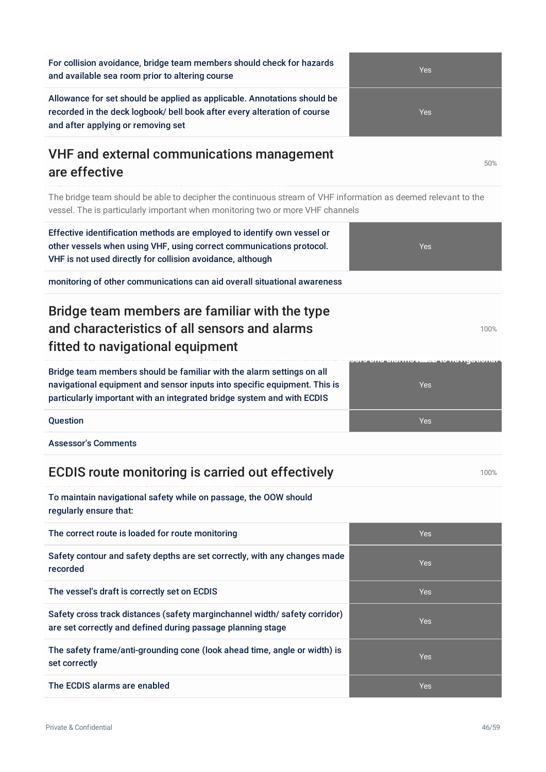For collision avoidance, bridge team members should check for hazards and available sea room prior to altering course

Allowance for set should be applied as applicable. Annotations should be recorded in the deck logbook/ bell book after every alteration of course and after applying or removing set

#### VHF and external communications management are effective

Effective identification methods are employed to identify own vessel or

The bridge team should be able to decipher the continuous stream of VHF information as deemed relevant to the vessel. The is particularly important when monitoring two or more VHF channels

other vessels when using VHF, using correct communications protocol. VHF is not used directly for collision avoidance, although monitoring of other communications can aid overall situational awareness Bridge team members are familiar with the type and characteristics of all sensors and alarms fitted to navigational equipment **Bridge team members are familiar with the type and characteristics of all sensors and alarms-1f0it0te%d to navigational equipment** Bridge team members should be familiar with the alarm settings on all navigational equipment and sensor inputs into specific equipment. This is particularly important with an integrated bridge system and with ECDIS **Question According to the Contract of Contract Contract of Contract Contract Contract Oriental According to the Ves** Assessor's Comments

## ECDIS route monitoring is carried out effectively measurement of  $100\%$

To maintain navigational safety while on passage, the OOW should regularly ensure that:

| The correct route is loaded for route monitoring                                                                                         | <b>Yes</b> |
|------------------------------------------------------------------------------------------------------------------------------------------|------------|
| Safety contour and safety depths are set correctly, with any changes made<br>recorded                                                    | <b>Yes</b> |
| The vessel's draft is correctly set on ECDIS                                                                                             | <b>Yes</b> |
| Safety cross track distances (safety marginchannel width/safety corridor)<br>are set correctly and defined during passage planning stage | <b>Yes</b> |
| The safety frame/anti-grounding cone (look ahead time, angle or width) is<br>set correctly                                               | <b>Yes</b> |
| The ECDIS alarms are enabled                                                                                                             | <b>Yes</b> |



Yes

100%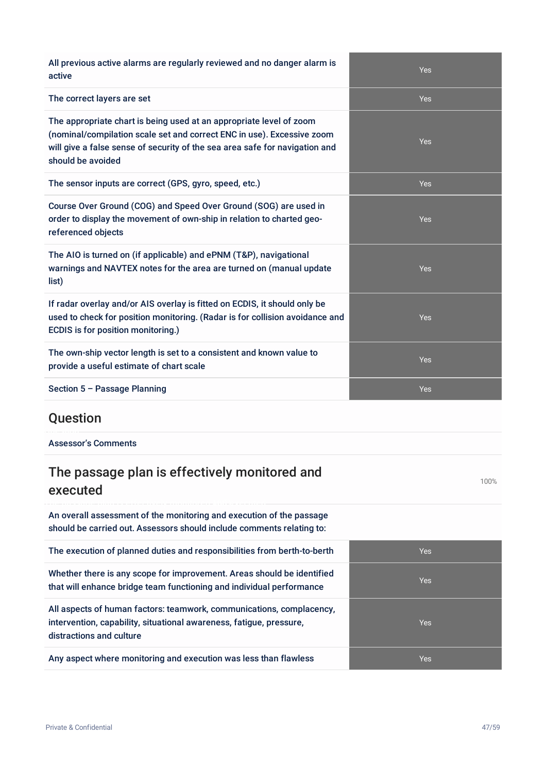| All previous active alarms are regularly reviewed and no danger alarm is<br>active                                                                                                                                                                | Yes        |
|---------------------------------------------------------------------------------------------------------------------------------------------------------------------------------------------------------------------------------------------------|------------|
| The correct layers are set                                                                                                                                                                                                                        | <b>Yes</b> |
| The appropriate chart is being used at an appropriate level of zoom<br>(nominal/compilation scale set and correct ENC in use). Excessive zoom<br>will give a false sense of security of the sea area safe for navigation and<br>should be avoided | <b>Yes</b> |
| The sensor inputs are correct (GPS, gyro, speed, etc.)                                                                                                                                                                                            | Yes        |
| Course Over Ground (COG) and Speed Over Ground (SOG) are used in<br>order to display the movement of own-ship in relation to charted geo-<br>referenced objects                                                                                   | <b>Yes</b> |
| The AIO is turned on (if applicable) and ePNM (T&P), navigational<br>warnings and NAVTEX notes for the area are turned on (manual update<br>list)                                                                                                 | Yes        |
| If radar overlay and/or AIS overlay is fitted on ECDIS, it should only be<br>used to check for position monitoring. (Radar is for collision avoidance and<br>ECDIS is for position monitoring.)                                                   | <b>Yes</b> |
| The own-ship vector length is set to a consistent and known value to<br>provide a useful estimate of chart scale                                                                                                                                  | <b>Yes</b> |
| Section 5 - Passage Planning                                                                                                                                                                                                                      | <b>Yes</b> |
| Question                                                                                                                                                                                                                                          |            |
| <b>Assessor's Comments</b>                                                                                                                                                                                                                        |            |
| The passage plan is effectively monitored and<br>executed                                                                                                                                                                                         | 100%       |
| An overall assessment of the monitoring and execution of the passage<br>should be carried out. Assessors should include comments relating to:                                                                                                     |            |
| The execution of planned duties and responsibilities from berth-to-berth                                                                                                                                                                          | Yes        |
| Whether there is any scope for improvement. Areas should be identified<br>that will enhance bridge team functioning and individual performance                                                                                                    | Yes        |
| All aspects of human factors: teamwork, communications, complacency,<br>intervention, capability, situational awareness, fatigue, pressure,<br>distractions and culture                                                                           | Yes        |
| Any aspect where monitoring and execution was less than flawless                                                                                                                                                                                  | Yes        |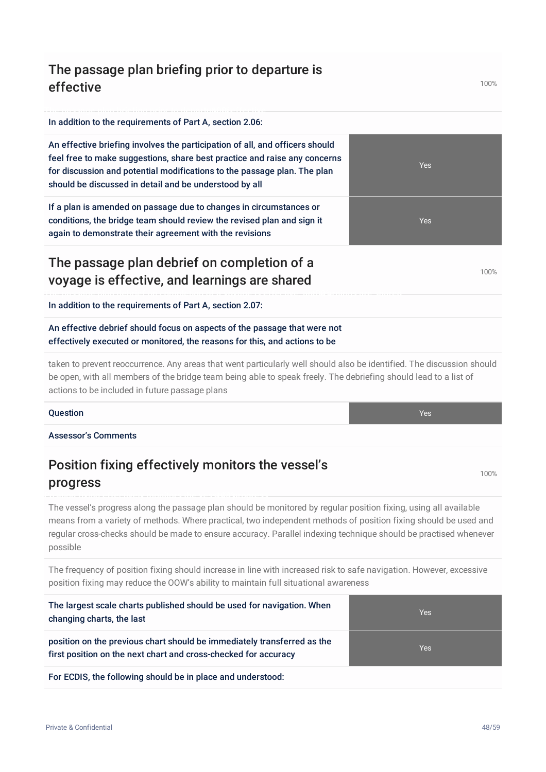#### The passage plan briefing prior to departure is effective

#### In addition to the requirements of Part A, section 2.06:

An effective briefing involves the participation of all, and officers should feel free to make suggestions, share best practice and raise any concerns for discussion and potential modifications to the passage plan. The plan should be discussed in detail and be understood by all

If a plan is amended on passage due to changes in circumstances or conditions, the bridge team should review the revised plan and sign it again to demonstrate their agreement with the revisions

#### The passage plan debrief on completion of a voyage is effective, and learnings are shared

#### In addition to the requirements of Part A, section 2.07:

An effective debrief should focus on aspects of the passage that were not effectively executed or monitored, the reasons for this, and actions to be

taken to prevent reoccurrence. Any areas that went particularly well should also be identified. The discussion should be open, with all members of the bridge team being able to speak freely. The debriefing should lead to a list of actions to be included in future passage plans

#### **Question According to the Contract of Contract Contract of Contract Contract Contract Oriental According to the Ves**

Assessor's Comments

#### Position fixing effectively monitors the vessel's progress

The vessel's progress along the passage plan should be monitored by regular position fixing, using all available means from a variety of methods. Where practical, two independent methods of position fixing should be used and regular cross-checks should be made to ensure accuracy. Parallel indexing technique should be practised whenever possible

The frequency of position fixing should increase in line with increased risk to safe navigation. However, excessive position fixing may reduce the OOW's ability to maintain full situational awareness

| The largest scale charts published should be used for navigation. When<br>changing charts, the last                                        | <b>Yes</b> |
|--------------------------------------------------------------------------------------------------------------------------------------------|------------|
| position on the previous chart should be immediately transferred as the<br>first position on the next chart and cross-checked for accuracy | <b>Yes</b> |
| For ECDIS, the following should be in place and understood:                                                                                |            |

#### 100%

100%

100%

Yes

Yes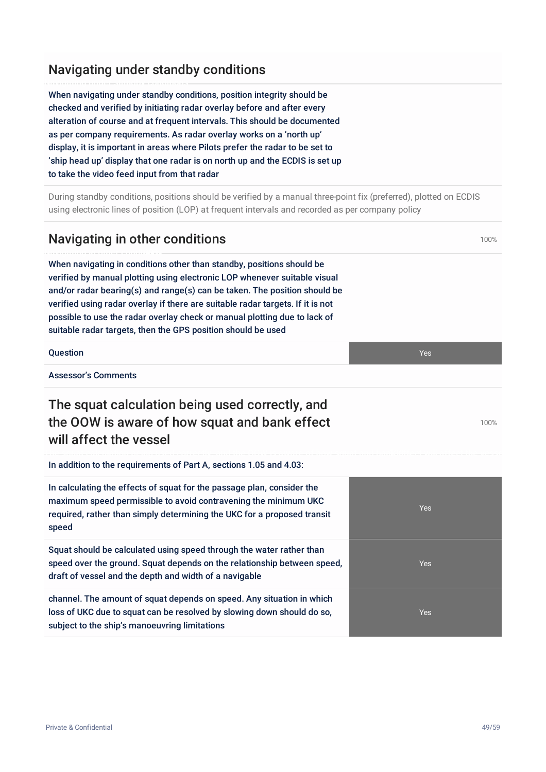## Navigating under standby conditions

When navigating under standby conditions, position integrity should be checked and verified by initiating radar overlay before and after every alteration of course and at frequent intervals. This should be documented as per company requirements. As radar overlay works on a 'north up' display, it is important in areas where Pilots prefer the radar to be set to 'ship head up' display that one radar is on north up and the ECDIS is set up to take the video feed input from that radar

During standby conditions, positions should be verified by a manual three-point fix (preferred), plotted on ECDIS using electronic lines of position (LOP) at frequent intervals and recorded as per company policy

## Navigating in other conditions and the state of the state of the state of the state of the state of the state of the state of the state of the state of the state of the state of the state of the state of the state of the s

When navigating in conditions other than standby, positions should be verified by manual plotting using electronic LOP whenever suitable visual and/or radar bearing(s) and range(s) can be taken. The position should be verified using radar overlay if there are suitable radar targets. If it is not possible to use the radar overlay check or manual plotting due to lack of suitable radar targets, then the GPS position should be used

**Question According to the Contract of Contract Contract of Contract Contract Contract Oriental According to the Ves** 

speed

Assessor's Comments

## The squat calculation being used correctly, and the OOW is aware of how squat and bank effect will affect the vessel

In addition to the requirements of Part A, sections 1.05 and 4.03:

In calculating the effects of squat for the passage plan, consider the maximum speed permissible to avoid contravening the minimum UKC

Squat should be calculated using speed through the water rather than

draft of vessel and the depth and width of a navigable

subject to the ship's manoeuvring limitations

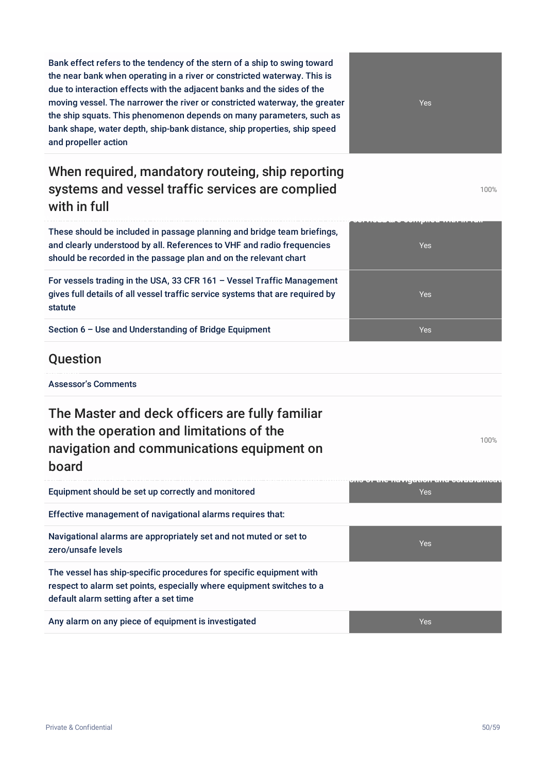Bank effect refers to the tendency of the stern of a ship to swing toward the near bank when operating in a river or constricted waterway. This is due to interaction effects with the adjacent banks and the sides of the moving vessel. The narrower the river or constricted waterway, the greater the ship squats. This phenomenon depends on many parameters, such as bank shape, water depth, ship-bank distance, ship properties, ship speed and propeller action

## When required, mandatory routeing, ship reporting systems and vessel traffic services are complied with in full

Yes

100%

100%

These should be included in passage planning and bridge team briefings, and clearly understood by all. References to VHF and radio frequencies should be recorded in the passage plan and on the relevant chart

For vessels trading in the USA, 33 CFR 161 – Vessel Traffic Management gives full details of all vessel traffic service systems that are required by statute

Section 6 – Use and Understanding of Bridge Equipment Yes

#### **Ouestion**

Assessor's Comments

The Master and deck officers are fully familiar with the operation and limitations of the navigation and communications equipment on board

| Equipment should be set up correctly and monitored                                                                                                                                     | <b>Yes</b> |
|----------------------------------------------------------------------------------------------------------------------------------------------------------------------------------------|------------|
| Effective management of navigational alarms requires that:                                                                                                                             |            |
| Navigational alarms are appropriately set and not muted or set to<br>zero/unsafe levels                                                                                                | <b>Yes</b> |
| The vessel has ship-specific procedures for specific equipment with<br>respect to alarm set points, especially where equipment switches to a<br>default alarm setting after a set time |            |
| Any alarm on any piece of equipment is investigated                                                                                                                                    | Yes        |

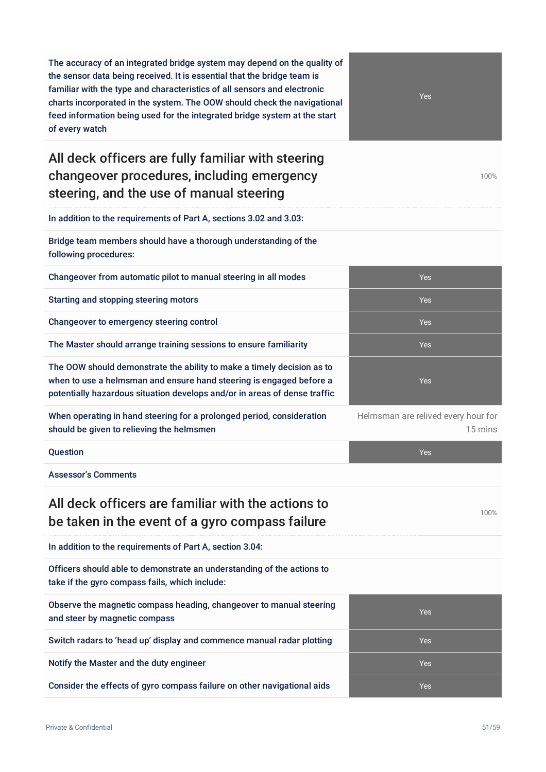The accuracy of an integrated bridge system may depend on the quality of the sensor data being received. It is essential that the bridge team is familiar with the type and characteristics of all sensors and electronic charts incorporated in the system. The OOW should check the navigational feed information being used for the integrated bridge system at the start of every watch

## All deck officers are fully familiar with steering changeover procedures, including emergency steering, and the use of manual steering

In addition to the requirements of Part A, sections 3.02 and 3.03:

Bridge team members should have a thorough understanding of the following procedures:

Changeover from automatic pilot to manual steering in all modes Yes

Starting and stopping steering motors **Yes** Yes

Changeover to emergency steering control Theorem and Theorem 2012 Session of the Vest Session of Theorem 2013

The Master should arrange training sessions to ensure familiarity The Master should arrange training sessions to ensure familiarity

The OOW should demonstrate the ability to make a timely decision as to when to use a helmsman and ensure hand steering is engaged before a potentially hazardous situation develops and/or in areas of dense traffic

When operating in hand steering for a prolonged period, consideration should be given to relieving the helmsmen

Assessor's Comments

#### All deck officers are familiar with the actions to be taken in the event of a gyro compass failure

In addition to the requirements of Part A, section 3.04:

Officers should able to demonstrate an understanding of the actions to take if the gyro compass fails, which include:

Observe the magnetic compass heading, changeover to manual steering and steer by magnetic compass

Switch radars to 'head up' display and commence manual radar plotting Yes

Notify the Master and the duty engineer Yes

Consider the effects of gyro compass failure on other navigational aids Yes



100%



Helmsman are relived every hour for 15 mins



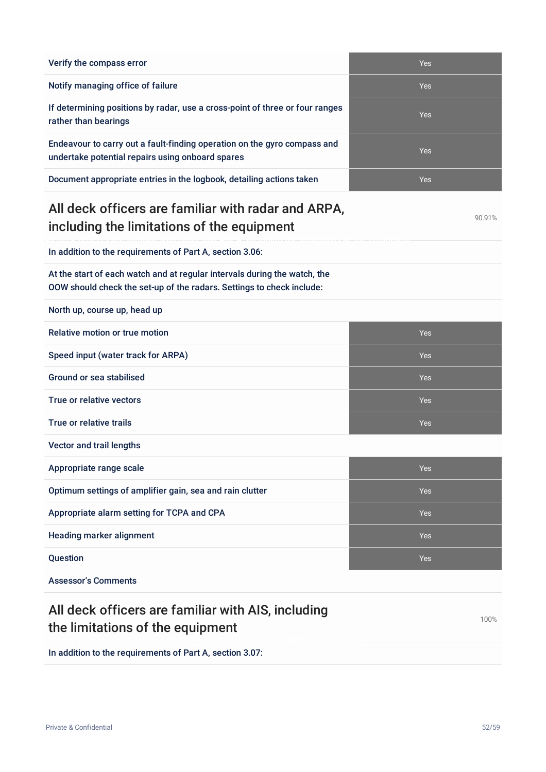| Verify the compass error                                                                                                     | Yes        |
|------------------------------------------------------------------------------------------------------------------------------|------------|
| Notify managing office of failure                                                                                            | Yes        |
| If determining positions by radar, use a cross-point of three or four ranges<br>rather than bearings                         | Yes        |
| Endeavour to carry out a fault-finding operation on the gyro compass and<br>undertake potential repairs using onboard spares | <b>Yes</b> |

Document appropriate entries in the logbook, detailing actions taken

#### All deck officers are familiar with radar and ARPA, including the limitations of the equipment

In addition to the requirements of Part A, section 3.06:

At the start of each watch and at regular intervals during the watch, the OOW should check the set-up of the radars. Settings to check include:

North up, course up, head up

| Relative motion or true motion                           | <b>Yes</b> |  |
|----------------------------------------------------------|------------|--|
| Speed input (water track for ARPA)                       | <b>Yes</b> |  |
| Ground or sea stabilised                                 | <b>Yes</b> |  |
| True or relative vectors                                 | <b>Yes</b> |  |
| True or relative trails                                  | <b>Yes</b> |  |
| Vector and trail lengths                                 |            |  |
|                                                          |            |  |
| Appropriate range scale                                  | <b>Yes</b> |  |
| Optimum settings of amplifier gain, sea and rain clutter | <b>Yes</b> |  |
| Appropriate alarm setting for TCPA and CPA               | <b>Yes</b> |  |
| <b>Heading marker alignment</b>                          | <b>Yes</b> |  |
| Question                                                 | <b>Yes</b> |  |

#### All deck officers are familiar with AIS, including the limitations of the equipment 100%

In addition to the requirements of Part A, section 3.07:

| Yes |
|-----|
| Yes |
| Yes |
| Yes |
| Yes |

90.91%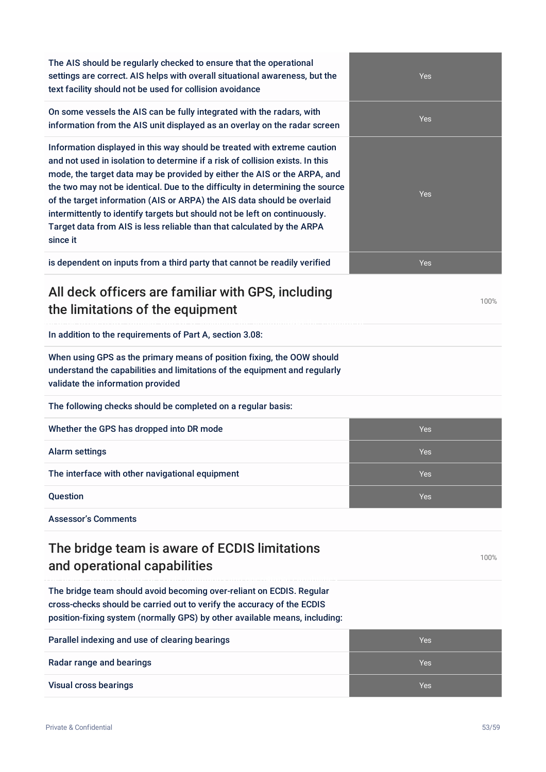The AIS should be regularly checked to ensure that the operational settings are correct. AIS helps with overall situational awareness, but the text facility should not be used for collision avoidance

On some vessels the AIS can be fully integrated with the radars, with information from the AIS unit displayed as an overlay on the radar screen

Information displayed in this way should be treated with extreme caution and not used in isolation to determine if a risk of collision exists. In this mode, the target data may be provided by either the AIS or the ARPA, and the two may not be identical. Due to the difficulty in determining the source of the target information (AIS or ARPA) the AIS data should be overlaid intermittently to identify targets but should not be left on continuously. Target data from AIS is less reliable than that calculated by the ARPA since it

is dependent on inputs from a third party that cannot be readily verified Yes

#### All deck officers are familiar with GPS, including the limitations of the equipment

In addition to the requirements of Part A, section 3.08:

When using GPS as the primary means of position fixing, the OOW should understand the capabilities and limitations of the equipment and regularly validate the information provided

The following checks should be completed on a regular basis:

| Whether the GPS has dropped into DR mode        | <b>Yes</b> |
|-------------------------------------------------|------------|
| <b>Alarm settings</b>                           | <b>Yes</b> |
| The interface with other navigational equipment | <b>Yes</b> |
| <b>Question</b>                                 | Yes        |

Assessor's Comments

## The bridge team is aware of ECDIS limitations and operational capabilities

The bridge team should avoid becoming over-reliant on ECDIS. Regular cross-checks should be carried out to verify the accuracy of the ECDIS position-fixing system (normally GPS) by other available means, including:

| Parallel indexing and use of clearing bearings | Yes |
|------------------------------------------------|-----|
| Radar range and bearings                       | Yes |
| Visual cross bearings                          | Yes |



100%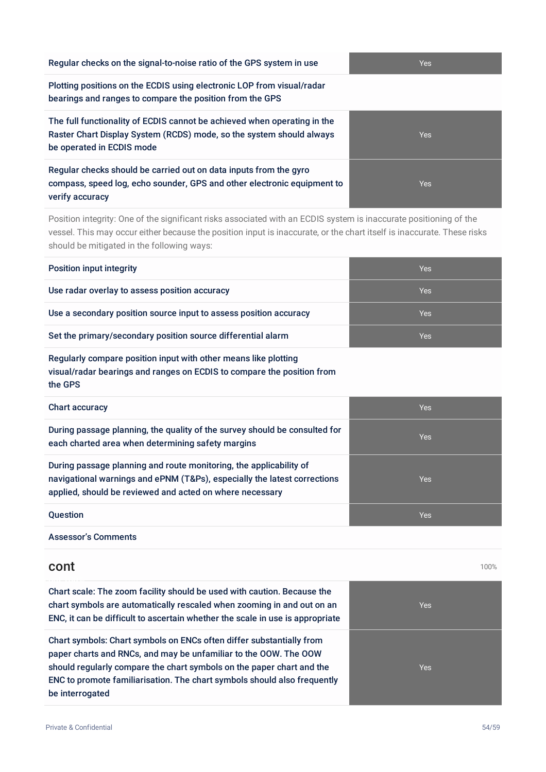| Regular checks on the signal-to-noise ratio of the GPS system in use                                                                                                          | <b>Yes</b> |
|-------------------------------------------------------------------------------------------------------------------------------------------------------------------------------|------------|
| Plotting positions on the ECDIS using electronic LOP from visual/radar<br>bearings and ranges to compare the position from the GPS                                            |            |
| The full functionality of ECDIS cannot be achieved when operating in the<br>Raster Chart Display System (RCDS) mode, so the system should always<br>be operated in ECDIS mode | Yes        |
| Regular checks should be carried out on data inputs from the gyro<br>compass, speed log, echo sounder, GPS and other electronic equipment to<br>verify accuracy               | Yes        |

Position integrity: One of the significant risks associated with an ECDIS system is inaccurate positioning of the vessel. This may occur either because the position input is inaccurate, or the chart itself is inaccurate. These risks should be mitigated in the following ways:

| <b>Position input integrity</b>                                   | Yes |
|-------------------------------------------------------------------|-----|
| Use radar overlay to assess position accuracy                     | Yes |
| Use a secondary position source input to assess position accuracy | Yes |
| Set the primary/secondary position source differential alarm      | Yes |

#### Regularly compare position input with other means like plotting visual/radar bearings and ranges on ECDIS to compare the position from the GPS

| <b>Chart accuracy</b>                                                                                                                                                                                      | <b>Yes</b> |
|------------------------------------------------------------------------------------------------------------------------------------------------------------------------------------------------------------|------------|
| During passage planning, the quality of the survey should be consulted for<br>each charted area when determining safety margins                                                                            | <b>Yes</b> |
| During passage planning and route monitoring, the applicability of<br>navigational warnings and ePNM (T&Ps), especially the latest corrections<br>applied, should be reviewed and acted on where necessary | <b>Yes</b> |
| <b>Question</b>                                                                                                                                                                                            | <b>Yes</b> |

Assessor's Comments

#### cont and the contract of the contract of the contract of the contract of the contract of the contract of the contract of the contract of the contract of the contract of the contract of the contract of the contract of the c Chart scale: The zoom facility should be used with caution. Because the chart symbols are automatically rescaled when zooming in and out on an ENC, it can be difficult to ascertain whether the scale in use is appropriate Yes Chart symbols: Chart symbols on ENCs often differ substantially from paper charts and RNCs, and may be unfamiliar to the OOW. The OOW should regularly compare the chart symbols on the paper chart and the ENC to promote familiarisation. The chart symbols should also frequently be interrogated Yes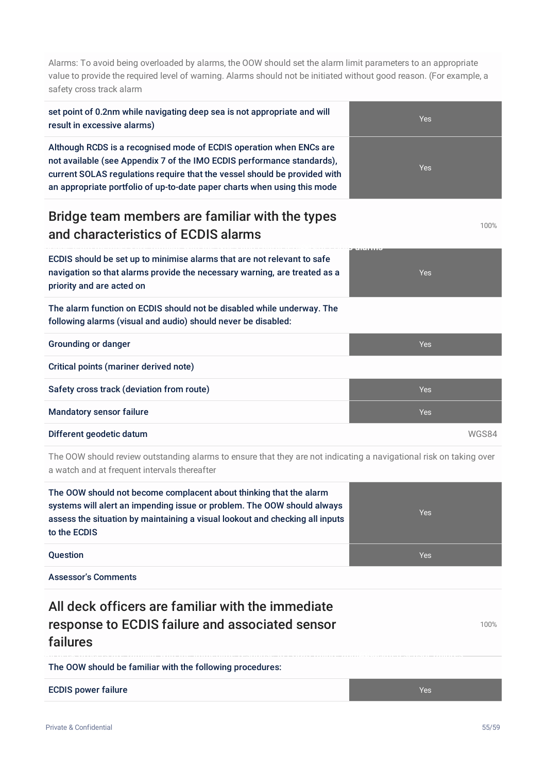Alarms: To avoid being overloaded by alarms, the OOW should set the alarm limit parameters to an appropriate value to provide the required level of warning. Alarms should not be initiated without good reason. (For example, a safety cross track alarm

| set point of 0.2nm while navigating deep sea is not appropriate and will<br>result in excessive alarms)                                                                                                                                                                                                | <b>Yes</b> |
|--------------------------------------------------------------------------------------------------------------------------------------------------------------------------------------------------------------------------------------------------------------------------------------------------------|------------|
| Although RCDS is a recognised mode of ECDIS operation when ENCs are<br>not available (see Appendix 7 of the IMO ECDIS performance standards),<br>current SOLAS regulations require that the vessel should be provided with<br>an appropriate portfolio of up-to-date paper charts when using this mode | <b>Yes</b> |
| Bridge team members are familiar with the types<br>and characteristics of ECDIS alarms                                                                                                                                                                                                                 | 100%       |
| ECDIS should be set up to minimise alarms that are not relevant to safe<br>navigation so that alarms provide the necessary warning, are treated as a<br>priority and are acted on                                                                                                                      | <b>Yes</b> |
| The alarm function on ECDIS should not be disabled while underway. The<br>following alarms (visual and audio) should never be disabled:                                                                                                                                                                |            |
| <b>Grounding or danger</b>                                                                                                                                                                                                                                                                             | <b>Yes</b> |
| <b>Critical points (mariner derived note)</b>                                                                                                                                                                                                                                                          |            |
| Safety cross track (deviation from route)                                                                                                                                                                                                                                                              | <b>Yes</b> |
| <b>Mandatory sensor failure</b>                                                                                                                                                                                                                                                                        | <b>Yes</b> |
| Different geodetic datum                                                                                                                                                                                                                                                                               | WGS84      |

The OOW should review outstanding alarms to ensure that they are not indicating a navigational risk on taking over a watch and at frequent intervals thereafter

The OOW should not become complacent about thinking that the alarm systems will alert an impending issue or problem. The OOW should always assess the situation by maintaining a visual lookout and checking all inputs to the ECDIS



Assessor's Comments

All deck officers are familiar with the immediate response to ECDIS failure and associated sensor failures

100%

The OOW should be familiar with the following procedures:

ECDIS power failure Yes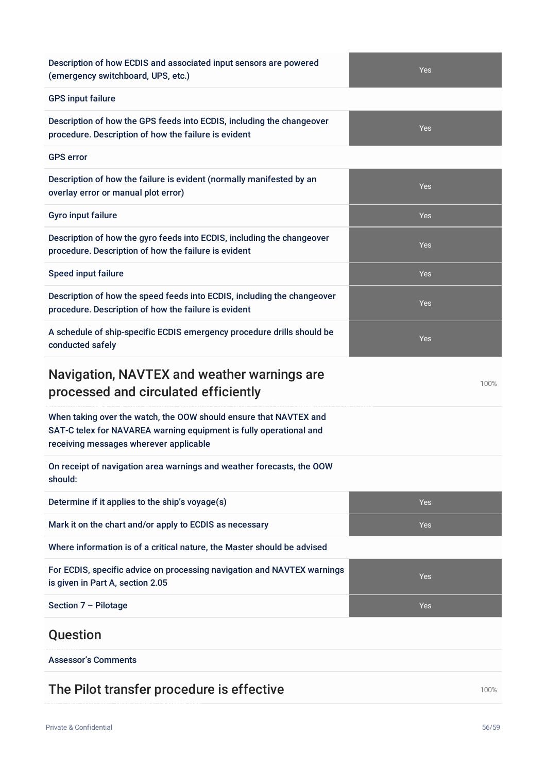Description of how ECDIS and associated input sensors are powered (emergency switchboard, UPS, etc.)

#### GPS input failure

Description of how the GPS feeds into ECDIS, including the changeover procedure. Description of how the failure is evident

#### GPS error

Description of how the failure is evident (normally manifested by an overlay error or manual plot error)

Description of how the gyro feeds into ECDIS, including the changeover procedure. Description of how the failure is evident

Description of how the speed feeds into ECDIS, including the changeover procedure. Description of how the failure is evident

A schedule of ship-specific ECDIS emergency procedure drills should be conducted safely

#### Navigation, NAVTEX and weather warnings are processed and circulated efficiently

When taking over the watch, the OOW should ensure that NAVTEX and SAT-C telex for NAVAREA warning equipment is fully operational and receiving messages wherever applicable

On receipt of navigation area warnings and weather forecasts, the OOW should:

Determine if it applies to the ship's voyage(s) Nessential Contract Contract Contract Contract Contract Contract Contract Contract Contract Contract Contract Contract Contract Contract Contract Contract Contract Contract C Mark it on the chart and/or apply to ECDIS as necessary **Yes** and the chart and or apply to ECDIS as necessary Where information is of a critical nature, the Master should be advised For ECDIS, specific advice on processing navigation and NAVTEX warnings is given in Part A, section 2.05 Yes Section 7 – Pilotage Yes

#### Question

Assessor's Comments

#### The Pilot transfer procedure is effective 100% and the Pilot transfer procedure is effective



Yes

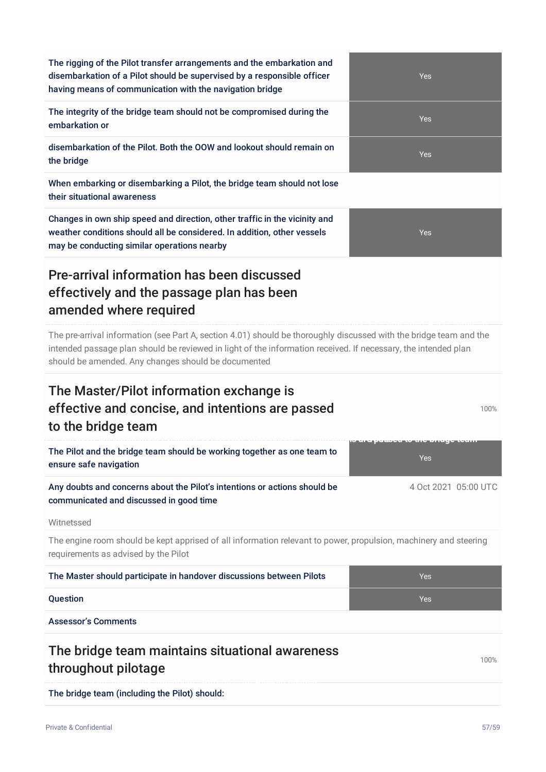| The rigging of the Pilot transfer arrangements and the embarkation and<br>disembarkation of a Pilot should be supervised by a responsible officer<br>having means of communication with the navigation bridge                                                                               | Yes                  |  |
|---------------------------------------------------------------------------------------------------------------------------------------------------------------------------------------------------------------------------------------------------------------------------------------------|----------------------|--|
| The integrity of the bridge team should not be compromised during the<br>embarkation or                                                                                                                                                                                                     | Yes                  |  |
| disembarkation of the Pilot. Both the OOW and lookout should remain on<br>the bridge                                                                                                                                                                                                        | Yes                  |  |
| When embarking or disembarking a Pilot, the bridge team should not lose<br>their situational awareness                                                                                                                                                                                      |                      |  |
| Changes in own ship speed and direction, other traffic in the vicinity and<br>weather conditions should all be considered. In addition, other vessels<br>may be conducting similar operations nearby                                                                                        | Yes                  |  |
| Pre-arrival information has been discussed<br>effectively and the passage plan has been<br>amended where required                                                                                                                                                                           |                      |  |
| The pre-arrival information (see Part A, section 4.01) should be thoroughly discussed with the bridge team and the<br>intended passage plan should be reviewed in light of the information received. If necessary, the intended plan<br>should be amended. Any changes should be documented |                      |  |
|                                                                                                                                                                                                                                                                                             |                      |  |
| The Master/Pilot information exchange is<br>effective and concise, and intentions are passed<br>to the bridge team                                                                                                                                                                          | 100%                 |  |
| The Pilot and the bridge team should be working together as one team to<br>ensure safe navigation                                                                                                                                                                                           | Yes                  |  |
| Any doubts and concerns about the Pilot's intentions or actions should be<br>communicated and discussed in good time                                                                                                                                                                        | 4 Oct 2021 05:00 UTC |  |
| Witnetssed                                                                                                                                                                                                                                                                                  |                      |  |
| The engine room should be kept apprised of all information relevant to power, propulsion, machinery and steering<br>requirements as advised by the Pilot                                                                                                                                    |                      |  |
| The Master should participate in handover discussions between Pilots                                                                                                                                                                                                                        | Yes                  |  |
| <b>Question</b>                                                                                                                                                                                                                                                                             | <b>Yes</b>           |  |
| <b>Assessor's Comments</b>                                                                                                                                                                                                                                                                  |                      |  |
| The bridge team maintains situational awareness<br>throughout pilotage                                                                                                                                                                                                                      | 100%                 |  |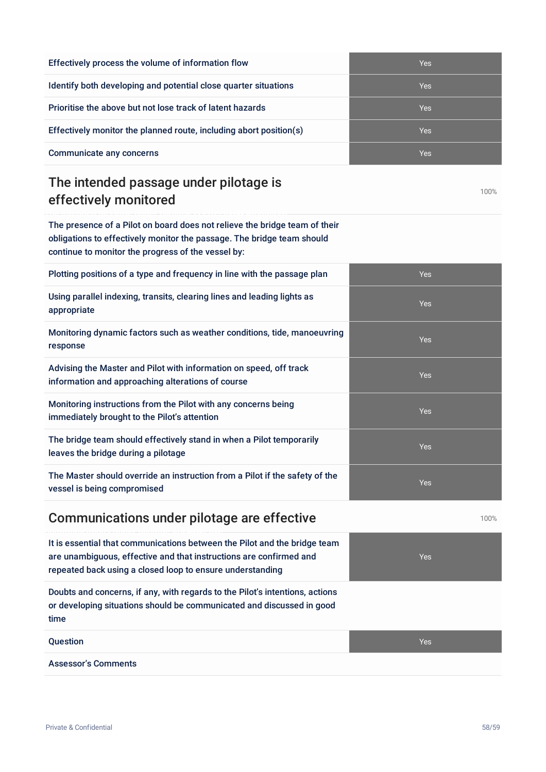| Effectively process the volume of information flow                 | <b>Yes</b> |
|--------------------------------------------------------------------|------------|
| Identify both developing and potential close quarter situations    | <b>Yes</b> |
| Prioritise the above but not lose track of latent hazards          | <b>Yes</b> |
| Effectively monitor the planned route, including abort position(s) | Yes        |
| <b>Communicate any concerns</b>                                    | <b>Yes</b> |

## The intended passage under pilotage is effectively monitored

The presence of a Pilot on board does not relieve the bridge team of their obligations to effectively monitor the passage. The bridge team should continue to monitor the progress of the vessel by:

| Plotting positions of a type and frequency in line with the passage plan                                                | <b>Yes</b> |
|-------------------------------------------------------------------------------------------------------------------------|------------|
| Using parallel indexing, transits, clearing lines and leading lights as<br>appropriate                                  | <b>Yes</b> |
| Monitoring dynamic factors such as weather conditions, tide, manoeuvring<br>response                                    | <b>Yes</b> |
| Advising the Master and Pilot with information on speed, off track<br>information and approaching alterations of course | <b>Yes</b> |
| Monitoring instructions from the Pilot with any concerns being<br>immediately brought to the Pilot's attention          | <b>Yes</b> |
| The bridge team should effectively stand in when a Pilot temporarily<br>leaves the bridge during a pilotage             | <b>Yes</b> |
| The Master should override an instruction from a Pilot if the safety of the<br>vessel is being compromised              | <b>Yes</b> |
|                                                                                                                         |            |

## Communications under pilotage are effective 100% and 100%

It is essential that communications between the Pilot and the bridge team are unambiguous, effective and that instructions are confirmed and repeated back using a closed loop to ensure understanding Yes Doubts and concerns, if any, with regards to the Pilot's intentions, actions or developing situations should be communicated and discussed in good time **Question According to the Contract of Contract Contract of Contract Contract Contract Oriental According to the Ves** Assessor's Comments